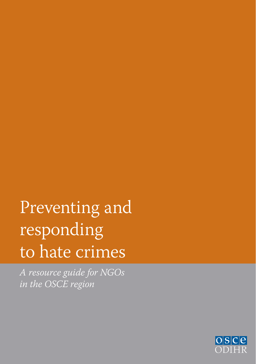# Preventing and responding to hate crimes

*A resource guide for NGOs in the OSCE region*

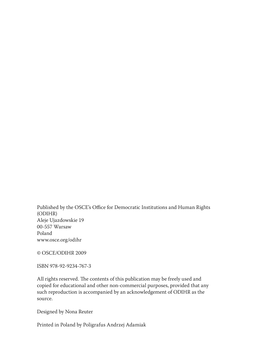Published by the OSCE's Office for Democratic Institutions and Human Rights (ODIHR) Aleje Ujazdowskie 19 00-557 Warsaw Poland www.osce.org/odihr

© OSCE/ODIHR 2009

ISBN 978-92-9234-767-3

All rights reserved. The contents of this publication may be freely used and copied for educational and other non-commercial purposes, provided that any such reproduction is accompanied by an acknowledgement of ODIHR as the source.

Designed by Nona Reuter

Printed in Poland by Poligrafus Andrzej Adamiak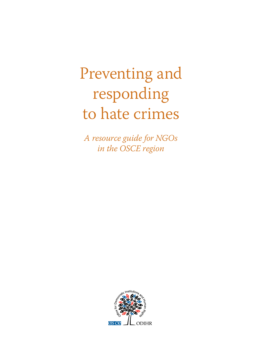# Preventing and responding to hate crimes

*A resource guide for NGOs in the OSCE region*

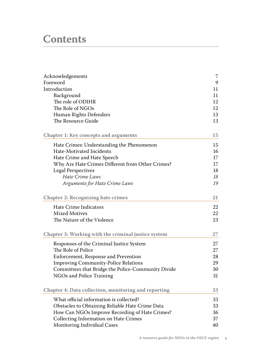# **Contents**

| Acknowledgements                                     | 7  |
|------------------------------------------------------|----|
| Foreword                                             | 9  |
| Introduction                                         | 11 |
| Background                                           | 11 |
| The role of ODIHR                                    | 12 |
| The Role of NGOs                                     | 12 |
| Human Rights Defenders                               | 13 |
| The Resource Guide                                   | 13 |
| <b>Chapter 1: Key concepts and arguments</b>         | 15 |
| Hate Crimes: Understanding the Phenomenon            | 15 |
| Hate-Motivated Incidents                             | 16 |
| Hate Crime and Hate Speech                           | 17 |
| Why Are Hate Crimes Different from Other Crimes?     | 17 |
| <b>Legal Perspectives</b>                            | 18 |
| Hate Crime Laws                                      | 18 |
| Arguments for Hate Crime Laws                        | 19 |
| <b>Chapter 2: Recognizing hate crimes</b>            | 21 |
| Hate Crime Indicators                                | 22 |
| Mixed Motives                                        | 22 |
| The Nature of the Violence                           | 23 |
| Chapter 3: Working with the criminal justice system  | 27 |
| Responses of the Criminal Justice System             | 27 |
| The Role of Police                                   | 27 |
| Enforcement, Response and Prevention                 | 28 |
| <b>Improving Community-Police Relations</b>          | 29 |
| Committees that Bridge the Police-Community Divide   | 30 |
| NGOs and Police Training                             | 31 |
| Chapter 4: Data collection, monitoring and reporting | 33 |
| What official information is collected?              | 33 |
| Obstacles to Obtaining Reliable Hate Crime Data      | 33 |
| How Can NGOs Improve Recording of Hate Crimes?       | 36 |
| Collecting Information on Hate Crimes                | 37 |
| Monitoring Individual Cases                          | 40 |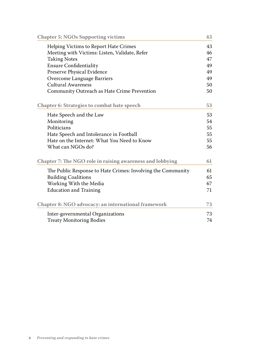| Helping Victims to Report Hate Crimes<br>43<br>Meeting with Victims: Listen, Validate, Refer<br>46<br><b>Taking Notes</b><br>47<br><b>Ensure Confidentiality</b><br>49<br>Preserve Physical Evidence<br>49<br>Overcome Language Barriers<br>49<br>Cultural Awareness<br>50<br>Community Outreach as Hate Crime Prevention<br>50<br><b>Chapter 6: Strategies to combat hate speech</b><br>53<br>53<br>Hate Speech and the Law<br>Monitoring<br>54<br>Politicians<br>55<br>Hate Speech and Intolerance in Football<br>55<br>Hate on the Internet: What You Need to Know<br>55<br>What can NGOs do?<br>56<br>Chapter 7: The NGO role in raising awareness and lobbying<br>61<br>The Public Response to Hate Crimes: Involving the Community<br>61<br><b>Building Coalitions</b><br>65<br>Working With the Media<br>67<br><b>Education and Training</b><br>71<br>Chapter 8: NGO advocacy: an international framework<br>73<br>Inter-governmental Organizations<br>73<br><b>Treaty Monitoring Bodies</b><br>74 | <b>Chapter 5: NGOs Supporting victims</b> | 43 |
|-----------------------------------------------------------------------------------------------------------------------------------------------------------------------------------------------------------------------------------------------------------------------------------------------------------------------------------------------------------------------------------------------------------------------------------------------------------------------------------------------------------------------------------------------------------------------------------------------------------------------------------------------------------------------------------------------------------------------------------------------------------------------------------------------------------------------------------------------------------------------------------------------------------------------------------------------------------------------------------------------------------|-------------------------------------------|----|
|                                                                                                                                                                                                                                                                                                                                                                                                                                                                                                                                                                                                                                                                                                                                                                                                                                                                                                                                                                                                           |                                           |    |
|                                                                                                                                                                                                                                                                                                                                                                                                                                                                                                                                                                                                                                                                                                                                                                                                                                                                                                                                                                                                           |                                           |    |
|                                                                                                                                                                                                                                                                                                                                                                                                                                                                                                                                                                                                                                                                                                                                                                                                                                                                                                                                                                                                           |                                           |    |
|                                                                                                                                                                                                                                                                                                                                                                                                                                                                                                                                                                                                                                                                                                                                                                                                                                                                                                                                                                                                           |                                           |    |
|                                                                                                                                                                                                                                                                                                                                                                                                                                                                                                                                                                                                                                                                                                                                                                                                                                                                                                                                                                                                           |                                           |    |
|                                                                                                                                                                                                                                                                                                                                                                                                                                                                                                                                                                                                                                                                                                                                                                                                                                                                                                                                                                                                           |                                           |    |
|                                                                                                                                                                                                                                                                                                                                                                                                                                                                                                                                                                                                                                                                                                                                                                                                                                                                                                                                                                                                           |                                           |    |
|                                                                                                                                                                                                                                                                                                                                                                                                                                                                                                                                                                                                                                                                                                                                                                                                                                                                                                                                                                                                           |                                           |    |
|                                                                                                                                                                                                                                                                                                                                                                                                                                                                                                                                                                                                                                                                                                                                                                                                                                                                                                                                                                                                           |                                           |    |
|                                                                                                                                                                                                                                                                                                                                                                                                                                                                                                                                                                                                                                                                                                                                                                                                                                                                                                                                                                                                           |                                           |    |
|                                                                                                                                                                                                                                                                                                                                                                                                                                                                                                                                                                                                                                                                                                                                                                                                                                                                                                                                                                                                           |                                           |    |
|                                                                                                                                                                                                                                                                                                                                                                                                                                                                                                                                                                                                                                                                                                                                                                                                                                                                                                                                                                                                           |                                           |    |
|                                                                                                                                                                                                                                                                                                                                                                                                                                                                                                                                                                                                                                                                                                                                                                                                                                                                                                                                                                                                           |                                           |    |
|                                                                                                                                                                                                                                                                                                                                                                                                                                                                                                                                                                                                                                                                                                                                                                                                                                                                                                                                                                                                           |                                           |    |
|                                                                                                                                                                                                                                                                                                                                                                                                                                                                                                                                                                                                                                                                                                                                                                                                                                                                                                                                                                                                           |                                           |    |
|                                                                                                                                                                                                                                                                                                                                                                                                                                                                                                                                                                                                                                                                                                                                                                                                                                                                                                                                                                                                           |                                           |    |
|                                                                                                                                                                                                                                                                                                                                                                                                                                                                                                                                                                                                                                                                                                                                                                                                                                                                                                                                                                                                           |                                           |    |
|                                                                                                                                                                                                                                                                                                                                                                                                                                                                                                                                                                                                                                                                                                                                                                                                                                                                                                                                                                                                           |                                           |    |
|                                                                                                                                                                                                                                                                                                                                                                                                                                                                                                                                                                                                                                                                                                                                                                                                                                                                                                                                                                                                           |                                           |    |
|                                                                                                                                                                                                                                                                                                                                                                                                                                                                                                                                                                                                                                                                                                                                                                                                                                                                                                                                                                                                           |                                           |    |
|                                                                                                                                                                                                                                                                                                                                                                                                                                                                                                                                                                                                                                                                                                                                                                                                                                                                                                                                                                                                           |                                           |    |
|                                                                                                                                                                                                                                                                                                                                                                                                                                                                                                                                                                                                                                                                                                                                                                                                                                                                                                                                                                                                           |                                           |    |
|                                                                                                                                                                                                                                                                                                                                                                                                                                                                                                                                                                                                                                                                                                                                                                                                                                                                                                                                                                                                           |                                           |    |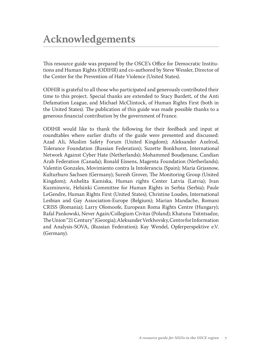# **Acknowledgements**

This resource guide was prepared by the OSCE's Office for Democratic Institutions and Human Rights (ODIHR) and co-authored by Steve Wessler, Director of the Center for the Prevention of Hate Violence (United States).

ODHIR is grateful to all those who participated and generously contributed their time to this project. Special thanks are extended to Stacy Burdett, of the Anti Defamation League, and Michael McClintock, of Human Rights First (both in the United States). The publication of this guide was made possible thanks to a generous financial contribution by the government of France.

ODIHR would like to thank the following for their feedback and input at roundtables where earlier drafts of the guide were presented and discussed: Azad Ali, Muslim Safety Forum (United Kingdom); Aleksander Axelrod, Tolerance Foundation (Russian Federation); Suzette Bonkhorst, International Network Against Cyber Hate (Netherlands); Mohammed Boudjenane, Candian Arab Federation (Canada); Ronald Eissens, Magenta Foundation (Netherlands); Valentin Gonzales, Movimiento contra la Intolerancia (Spain); Maria Grjasnow, Kulturburo Sachsen (Germany); Suresh Grover, The Monitoring Group (United Kingdom); Anhelita Kamiska, Human rights Center Latvia (Latvia); Ivan Kuzminovic, Helsinki Committee for Human Rights in Serbia (Serbia); Paule LeGendre, Human Rights First (United States); Christine Loudes, International Lesbian and Gay Association-Europe (Belgium); Marian Mandache, Romani CRISS (Romania); Larry Olomoofe, European Roma Rights Centre (Hungary); Rafal Pankowski, Never Again/Collegium Civitas (Poland); Khatuna Tsitntsadze, The Union "21 Century" (Georgia); Aleksander Verkhovsky, Centre for Information and Analysis-SOVA, (Russian Federation); Kay Wendel, Opferperspektive e.V. (Germany).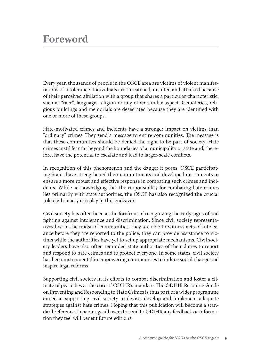# **Foreword**

Every year, thousands of people in the OSCE area are victims of violent manifestations of intolerance. Individuals are threatened, insulted and attacked because of their perceived affiliation with a group that shares a particular characteristic, such as "race", language, religion or any other similar aspect. Cemeteries, religious buildings and memorials are desecrated because they are identified with one or more of these groups.

Hate-motivated crimes and incidents have a stronger impact on victims than "ordinary" crimes: They send a message to entire communities. The message is that these communities should be denied the right to be part of society. Hate crimes instil fear far beyond the boundaries of a municipality or state and, therefore, have the potential to escalate and lead to larger-scale conflicts.

In recognition of this phenomenon and the danger it poses, OSCE participating States have strengthened their commitments and developed instruments to ensure a more robust and effective response in combating such crimes and incidents. While acknowledging that the responsibility for combating hate crimes lies primarily with state authorities, the OSCE has also recognized the crucial role civil society can play in this endeavor.

Civil society has often been at the forefront of recognizing the early signs of and fighting against intolerance and discrimination. Since civil society representatives live in the midst of communities, they are able to witness acts of intolerance before they are reported to the police; they can provide assistance to victims while the authorities have yet to set up appropriate mechanisms. Civil society leaders have also often reminded state authorities of their duties to report and respond to hate crimes and to protect everyone. In some states, civil society has been instrumental in empowering communities to induce social change and inspire legal reforms.

Supporting civil society in its efforts to combat discrimination and foster a climate of peace lies at the core of ODIHR's mandate. The ODIHR Resource Guide on Preventing and Responding to Hate Crimes is thus part of a wider programme aimed at supporting civil society to devise, develop and implement adequate strategies against hate crimes. Hoping that this publication will become a standard reference, I encourage all users to send to ODIHR any feedback or information they feel will benefit future editions.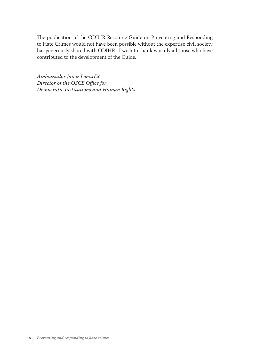The publication of the ODIHR Resource Guide on Preventing and Responding to Hate Crimes would not have been possible without the expertise civil society has generously shared with ODIHR. I wish to thank warmly all those who have contributed to the development of the Guide.

*Ambassador Janez Lenarčič Director of the OSCE Office for Democratic Institutions and Human Rights*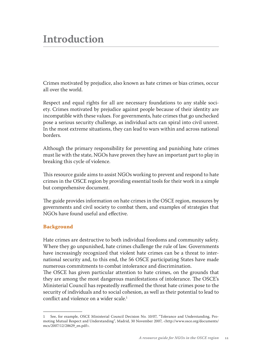# **Introduction**

Crimes motivated by prejudice, also known as hate crimes or bias crimes, occur all over the world.

Respect and equal rights for all are necessary foundations to any stable society. Crimes motivated by prejudice against people because of their identity are incompatible with these values. For governments, hate crimes that go unchecked pose a serious security challenge, as individual acts can spiral into civil unrest. In the most extreme situations, they can lead to wars within and across national borders.

Although the primary responsibility for preventing and punishing hate crimes must lie with the state, NGOs have proven they have an important part to play in breaking this cycle of violence.

This resource guide aims to assist NGOs working to prevent and respond to hate crimes in the OSCE region by providing essential tools for their work in a simple but comprehensive document.

The guide provides information on hate crimes in the OSCE region, measures by governments and civil society to combat them, and examples of strategies that NGOs have found useful and effective.

# **Background**

Hate crimes are destructive to both individual freedoms and community safety. Where they go unpunished, hate crimes challenge the rule of law. Governments have increasingly recognized that violent hate crimes can be a threat to international security and, to this end, the 56 OSCE participating States have made numerous commitments to combat intolerance and discrimination.

The OSCE has given particular attention to hate crimes, on the grounds that they are among the most dangerous manifestations of intolerance. The OSCE's Ministerial Council has repeatedly reaffirmed the threat hate crimes pose to the security of individuals and to social cohesion, as well as their potential to lead to conflict and violence on a wider scale.1

<sup>1</sup> See, for example, OSCE Ministerial Council Decision No. 10/07, "Tolerance and Understanding, Promoting Mutual Respect and Understanding", Madrid, 30 November 2007, <http://www.osce.org/documents/ mcs/2007/12/28629\_en.pdf>.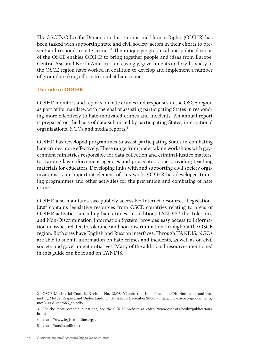The OSCE's Office for Democratic Institutions and Human Rights (ODIHR) has been tasked with supporting state and civil society actors in their efforts to prevent and respond to hate crimes.<sup>2</sup> The unique geographical and political scope of the OSCE enables ODIHR to bring together people and ideas from Europe, Central Asia and North America. Increasingly, governments and civil society in the OSCE region have worked in coalition to develop and implement a number of groundbreaking efforts to combat hate crimes.

### **The role of ODIHR**

ODIHR monitors and reports on hate crimes and responses in the OSCE region as part of its mandate, with the goal of assisting participating States in responding more effectively to hate-motivated crimes and incidents. An annual report is prepared on the basis of data submitted by participating States, international organizations, NGOs and media reports.3

ODIHR has developed programmes to assist participating States in combating hate crimes more effectively. These range from undertaking workshops with government ministries responsible for data collection and criminal-justice matters, to training law enforcement agencies and prosecutors, and providing teaching materials for educators. Developing links with and supporting civil society organizations is an important element of this work. ODIHR has developed training programmes and other activities for the prevention and combating of hate crime.

ODIHR also maintains two publicly accessible Internet resources. Legislationline4 contains legislative resources from OSCE countries relating to areas of ODIHR activities, including hate crimes. In addition, TANDIS,<sup>5</sup> the Tolerance and Non-Discrimination Information System, provides easy access to information on issues related to tolerance and non-discrimination throughout the OSCE region. Both sites have English and Russian interfaces. Through TANDIS, NGOs are able to submit information on hate crimes and incidents, as well as on civil society and government initiatives. Many of the additional resources mentioned in this guide can be found on TANDIS.

<sup>2</sup> OSCE Ministerial Council, Decision No. 13/06, "Combatting Intolerance and Discrimination and Promoting Mutual Respect and Understanding", Brussels, 5 December 2006, <http://www.osce.org/documents/ mcs/2006/12/22565\_en.pdf>.

<sup>3</sup> For the most-recent publications, see the ODIHR website at <http://www.osce.org/odihr/publications. html>.

<sup>4</sup> <http://www.legislationline.org>.

<sup>5</sup> <http://tandis.odihr.pl>.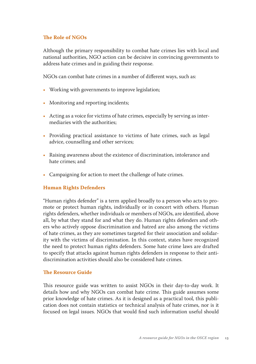# **The Role of NGOs**

Although the primary responsibility to combat hate crimes lies with local and national authorities, NGO action can be decisive in convincing governments to address hate crimes and in guiding their response.

NGOs can combat hate crimes in a number of different ways, such as:

- Working with governments to improve legislation;
- Monitoring and reporting incidents;
- Acting as a voice for victims of hate crimes, especially by serving as intermediaries with the authorities;
- Providing practical assistance to victims of hate crimes, such as legal advice, counselling and other services;
- Raising awareness about the existence of discrimination, intolerance and hate crimes; and
- Campaigning for action to meet the challenge of hate crimes.

# **Human Rights Defenders**

"Human rights defender" is a term applied broadly to a person who acts to promote or protect human rights, individually or in concert with others. Human rights defenders, whether individuals or members of NGOs, are identified, above all, by what they stand for and what they do. Human rights defenders and others who actively oppose discrimination and hatred are also among the victims of hate crimes, as they are sometimes targeted for their association and solidarity with the victims of discrimination. In this context, states have recognized the need to protect human rights defenders. Some hate crime laws are drafted to specify that attacks against human rights defenders in response to their antidiscrimination activities should also be considered hate crimes.

#### **The Resource Guide**

This resource guide was written to assist NGOs in their day-to-day work. It details how and why NGOs can combat hate crime. This guide assumes some prior knowledge of hate crimes. As it is designed as a practical tool, this publication does not contain statistics or technical analysis of hate crimes, nor is it focused on legal issues. NGOs that would find such information useful should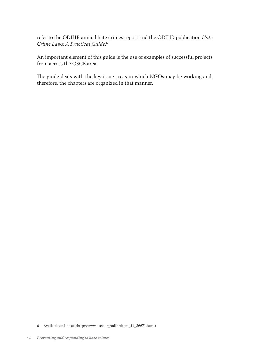refer to the ODIHR annual hate crimes report and the ODIHR publication *Hate Crime Laws: A Practical Guide*. 6

An important element of this guide is the use of examples of successful projects from across the OSCE area.

The guide deals with the key issue areas in which NGOs may be working and, therefore, the chapters are organized in that manner.

<sup>6</sup> Available on line at <http://www.osce.org/odihr/item\_11\_36671.html>.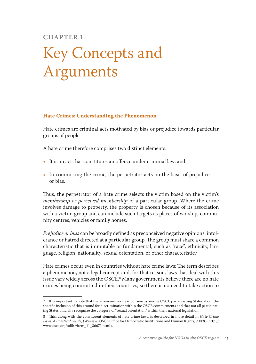# **Chapter 1**

# Key Concepts and Arguments

#### **Hate Crimes: Understanding the Phenomenon**

Hate crimes are criminal acts motivated by bias or prejudice towards particular groups of people.

A hate crime therefore comprises two distinct elements:

- It is an act that constitutes an offence under criminal law; and
- In committing the crime, the perpetrator acts on the basis of prejudice or bias.

Thus, the perpetrator of a hate crime selects the victim based on the victim's *membership or perceived membership* of a particular group. Where the crime involves damage to property, the property is chosen because of its association with a victim group and can include such targets as places of worship, community centres, vehicles or family homes.

*Prejudice or bias* can be broadly defined as preconceived negative opinions, intolerance or hatred directed at a particular group. The group must share a common characteristic that is immutable or fundamental, such as "race", ethnicity, language, religion, nationality, sexual orientation, or other characteristic.7

Hate crimes occur even in countries without hate crime laws: The term describes a phenomenon, not a legal concept and, for that reason, laws that deal with this issue vary widely across the OSCE.8 Many governments believe there are no hate crimes being committed in their countries, so there is no need to take action to

<sup>7</sup> It is important to note that there remains no clear consensus among OSCE participating States about the specific inclusion of this ground for discrimination within the OSCE commitments and that not all participating States officially recognize the category of "sexual orientation" within their national legislation.

<sup>8</sup> This, along with the constituent elements of hate crime laws, is described in more detail in *Hate Crime Laws: A Practical Guide,* (Warsaw: OSCE Office for Democratic Institutions and Human Rights, 2009), <http:// www.osce.org/odihr/item\_11\_36671.html>.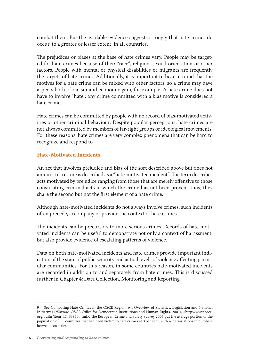combat them. But the available evidence suggests strongly that hate crimes do occur, to a greater or lesser extent, in all countries.<sup>9</sup>

The prejudices or biases at the base of hate crimes vary. People may be targeted for hate crimes because of their "race", religion, sexual orientation or other factors. People with mental or physical disabilities or migrants are frequently the targets of hate crimes. Additionally, it is important to bear in mind that the motives for a hate crime can be mixed with other factors, so a crime may have aspects both of racism and economic gain, for example. A hate crime does not have to involve "hate"; any crime committed with a bias motive is considered a hate crime.

Hate crimes can be committed by people with no record of bias-motivated activities or other criminal behaviour. Despite popular perceptions, hate crimes are not always committed by members of far-right groups or ideological movements. For these reasons, hate crimes are very complex phenomena that can be hard to recognize and respond to.

# **Hate-Motivated Incidents**

An act that involves prejudice and bias of the sort described above but does not amount to a crime is described as a "hate-motivated incident"*.* The term describes acts motivated by prejudice ranging from those that are merely offensive to those constituting criminal acts in which the crime has not been proven. Thus, they share the second but not the first element of a hate crime.

Although hate-motivated incidents do not always involve crimes, such incidents often precede, accompany or provide the context of hate crimes.

The incidents can be precursors to more serious crimes. Records of hate-motivated incidents can be useful to demonstrate not only a context of harassment, but also provide evidence of escalating patterns of violence.

Data on both hate-motivated incidents and hate crimes provide important indicators of the state of public security and actual levels of violence affecting particular communities. For this reason, in some countries hate-motivated incidents are recorded in addition to and separately from hate crimes. This is discussed further in Chapter 4: Data Collection, Monitoring and Reporting.

<sup>9</sup> See Combating Hate Crimes in the OSCE Region: An Overview of Statistics, Legislation and National Initiatives (Warsaw: OSCE Office for Democratic Institutions and Human Rights, 2007), <http://www.osce. org/odihr/item\_11\_33850.html>. The European Crime and Safety Survey 2005 put the average portion of the population of EU countries that had been victim to hate crimes at 3 per cent, with wide variations in numbers between countries.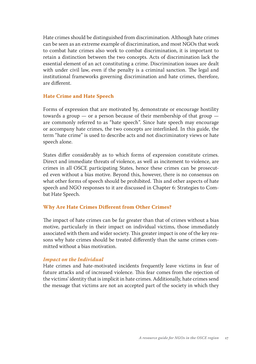Hate crimes should be distinguished from discrimination. Although hate crimes can be seen as an extreme example of discrimination, and most NGOs that work to combat hate crimes also work to combat discrimination, it is important to retain a distinction between the two concepts. Acts of discrimination lack the essential element of an act constituting a crime. Discrimination issues are dealt with under civil law, even if the penalty is a criminal sanction. The legal and institutional frameworks governing discrimination and hate crimes, therefore, are different.

# **Hate Crime and Hate Speech**

Forms of expression that are motivated by, demonstrate or encourage hostility towards a group — or a person because of their membership of that group are commonly referred to as "hate speech". Since hate speech may encourage or accompany hate crimes, the two concepts are interlinked. In this guide, the term "hate crime" is used to describe acts and not discriminatory views or hate speech alone.

States differ considerably as to which forms of expression constitute crimes. Direct and immediate threats of violence, as well as incitement to violence, are crimes in all OSCE participating States, hence these crimes can be prosecuted even without a bias motive. Beyond this, however, there is no consensus on what other forms of speech should be prohibited. This and other aspects of hate speech and NGO responses to it are discussed in Chapter 6: Strategies to Combat Hate Speech.

#### **Why Are Hate Crimes Different from Other Crimes?**

The impact of hate crimes can be far greater than that of crimes without a bias motive, particularly in their impact on individual victims, those immediately associated with them and wider society. This greater impact is one of the key reasons why hate crimes should be treated differently than the same crimes committed without a bias motivation.

#### *Impact on the Individual*

Hate crimes and hate-motivated incidents frequently leave victims in fear of future attacks and of increased violence. This fear comes from the rejection of the victims' identity that is implicit in hate crimes. Additionally, hate crimes send the message that victims are not an accepted part of the society in which they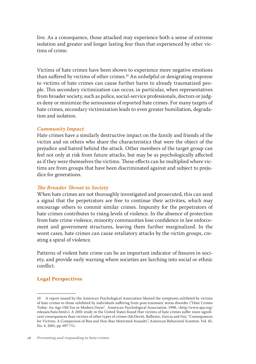live. As a consequence, those attacked may experience both a sense of extreme isolation and greater and longer lasting fear than that experienced by other victims of crime.

Victims of hate crimes have been shown to experience more negative emotions than suffered by victims of other crimes.<sup>10</sup> An unhelpful or denigrating response to victims of hate crimes can cause further harm to already traumatized people. This secondary victimization can occur, in particular, when representatives from broader society, such as police, social-service professionals, doctors or judges deny or minimize the seriousness of reported hate crimes. For many targets of hate crimes, secondary victimization leads to even greater humiliation, degradation and isolation.

#### *Community Impact*

Hate crimes have a similarly destructive impact on the family and friends of the victim and on others who share the characteristics that were the object of the prejudice and hatred behind the attack. Other members of the target group can feel not only at risk from future attacks, but may be as psychologically affected as if they were themselves the victims. These effects can be multiplied where victims are from groups that have been discriminated against and subject to prejudice for generations.

# *The Broader Threat to Society*

When hate crimes are not thoroughly investigated and prosecuted, this can send a signal that the perpetrators are free to continue their activities, which may encourage others to commit similar crimes. Impunity for the perpetrators of hate crimes contributes to rising levels of violence. In the absence of protection from hate crime violence, minority communities lose confidence in law enforcement and government structures, leaving them further marginalized. In the worst cases, hate crimes can cause retaliatory attacks by the victim groups, creating a spiral of violence.

Patterns of violent hate crime can be an important indicator of fissures in society, and provide early warning where societies are lurching into social or ethnic conflict.

# **Legal Perspectives**

<sup>10</sup> A report issued by the American Psychological Association likened the symptoms exhibited by victims of hate crimes to those exhibited by individuals suffering from post-traumatic stress disorder ("Hate Crimes Today: An Age-Old Foe in Modern Dress", American Psychological Association, 1998, <http://www.apa.org/ releases/hate.html>). A 2001 study in the United States found that victims of hate crimes suffer more significant consequences than victims of other types of crimes (McDevitt, Balbonic, Garcia and Gui, "Consequences for Victims, A Comparison of Bias and Non-Bias Motivated Assaults", American Behavioral Scientist, Vol. 45, No. 4, 2001, pp. 697-711.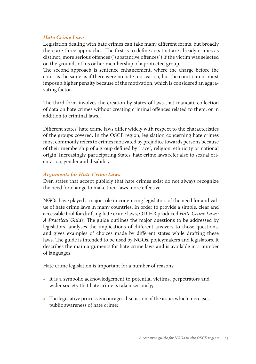# *Hate Crime Laws*

Legislation dealing with hate crimes can take many different forms, but broadly there are three approaches. The first is to define acts that are already crimes as distinct, more serious offences ("substantive offences") if the victim was selected on the grounds of his or her membership of a protected group.

The second approach is sentence enhancement, where the charge before the court is the same as if there were no hate motivation, but the court can or must impose a higher penalty because of the motivation, which is considered an aggravating factor.

The third form involves the creation by states of laws that mandate collection of data on hate crimes without creating criminal offences related to them, or in addition to criminal laws.

Different states' hate crime laws differ widely with respect to the characteristics of the groups covered. In the OSCE region, legislation concerning hate crimes most commonly refers to crimes motivated by prejudice towards persons because of their membership of a group defined by "race", religion, ethnicity or national origin. Increasingly, participating States' hate crime laws refer also to sexual orientation, gender and disability.

# *Arguments for Hate Crime Laws*

Even states that accept publicly that hate crimes exist do not always recognize the need for change to make their laws more effective.

NGOs have played a major role in convincing legislators of the need for and value of hate crime laws in many countries. In order to provide a simple, clear and accessible tool for drafting hate crime laws, ODIHR produced *Hate Crime Laws: A Practical Guide.* The guide outlines the major questions to be addressed by legislators, analyses the implications of different answers to those questions, and gives examples of choices made by different states while drafting these laws. The guide is intended to be used by NGOs, policymakers and legislators. It describes the main arguments for hate crime laws and is available in a number of languages.

Hate crime legislation is important for a number of reasons:

- It is a symbolic acknowledgement to potential victims, perpetrators and wider society that hate crime is taken seriously;
- The legislative process encourages discussion of the issue, which increases public awareness of hate crime;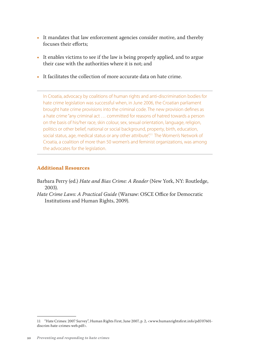- It mandates that law enforcement agencies consider motive, and thereby focuses their efforts;
- It enables victims to see if the law is being properly applied, and to argue their case with the authorities where it is not; and
- It facilitates the collection of more accurate data on hate crime.

In Croatia, advocacy by coalitions of human rights and anti-discrimination bodies for hate crime legislation was successful when, in June 2006, the Croatian parliament brought hate crime provisions into the criminal code. The new provision defines as a hate crime "any criminal act … committed for reasons of hatred towards a person on the basis of his/her race, skin colour, sex, sexual orientation, language, religion, politics or other belief, national or social background, property, birth, education, social status, age, medical status or any other attribute".<sup>11</sup> The Women's Network of Croatia, a coalition of more than 50 women's and feminist organizations, was among the advocates for the legislation.

# **Additional Resources**

- Barbara Perry (ed.) *Hate and Bias Crime: A Reader* (New York, NY: Routledge, 2003).
- *Hate Crime Laws: A Practical Guide* (Warsaw: OSCE Office for Democratic Institutions and Human Rights, 2009).

<sup>11</sup> "Hate Crimes: 2007 Survey", Human Rights First, June 2007, p. 2, <www.humanrightsfirst.info/pdf/07601 discrim-hate-crimes-web.pdf>.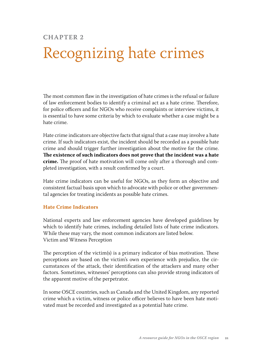# **Chapter 2**

# Recognizing hate crimes

The most common flaw in the investigation of hate crimes is the refusal or failure of law enforcement bodies to identify a criminal act as a hate crime. Therefore, for police officers and for NGOs who receive complaints or interview victims, it is essential to have some criteria by which to evaluate whether a case might be a hate crime.

Hate crime indicators are objective facts that signal that a case may involve a hate crime. If such indicators exist, the incident should be recorded as a possible hate crime and should trigger further investigation about the motive for the crime. **The existence of such indicators does not prove that the incident was a hate crime.** The proof of hate motivation will come only after a thorough and completed investigation, with a result confirmed by a court.

Hate crime indicators can be useful for NGOs, as they form an objective and consistent factual basis upon which to advocate with police or other governmental agencies for treating incidents as possible hate crimes.

# **Hate Crime Indicators**

National experts and law enforcement agencies have developed guidelines by which to identify hate crimes, including detailed lists of hate crime indicators. While these may vary, the most common indicators are listed below. Victim and Witness Perception

The perception of the victim(s) is a primary indicator of bias motivation. These perceptions are based on the victim's own experience with prejudice, the circumstances of the attack, their identification of the attackers and many other factors. Sometimes, witnesses' perceptions can also provide strong indicators of the apparent motive of the perpetrator.

In some OSCE countries, such as Canada and the United Kingdom, any reported crime which a victim, witness or police officer believes to have been hate motivated must be recorded and investigated as a potential hate crime.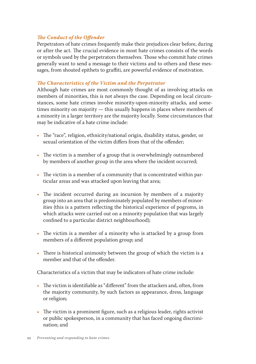# *The Conduct of the Offender*

Perpetrators of hate crimes frequently make their prejudices clear before, during or after the act. The crucial evidence in most hate crimes consists of the words or symbols used by the perpetrators themselves. Those who commit hate crimes generally want to send a message to their victims and to others and these messages, from shouted epithets to graffiti, are powerful evidence of motivation.

# *The Characteristics of the Victim and the Perpetrator*

Although hate crimes are most commonly thought of as involving attacks on members of minorities, this is not always the case. Depending on local circumstances, some hate crimes involve minority-upon-minority attacks, and sometimes minority on majority — this usually happens in places where members of a minority in a larger territory are the majority locally. Some circumstances that may be indicative of a hate crime include:

- The "race", religion, ethnicity/national origin, disability status, gender, or sexual orientation of the victim differs from that of the offender;
- The victim is a member of a group that is overwhelmingly outnumbered by members of another group in the area where the incident occurred;
- The victim is a member of a community that is concentrated within particular areas and was attacked upon leaving that area;
- The incident occurred during an incursion by members of a majority group into an area that is predominately populated by members of minorities (this is a pattern reflecting the historical experience of pogroms, in which attacks were carried out on a minority population that was largely confined to a particular district neighbourhood);
- The victim is a member of a minority who is attacked by a group from members of a different population group; and
- There is historical animosity between the group of which the victim is a member and that of the offender.

Characteristics of a victim that may be indicators of hate crime include:

- The victim is identifiable as "different" from the attackers and, often, from the majority community, by such factors as appearance, dress, language or religion;
- The victim is a prominent figure, such as a religious leader, rights activist or public spokesperson, in a community that has faced ongoing discrimination; and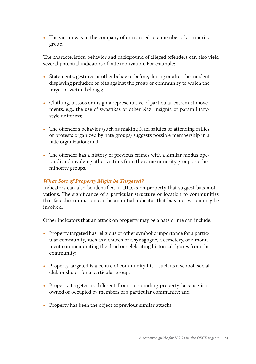• The victim was in the company of or married to a member of a minority group.

The characteristics, behavior and background of alleged offenders can also yield several potential indicators of hate motivation. For example:

- Statements, gestures or other behavior before, during or after the incident displaying prejudice or bias against the group or community to which the target or victim belongs;
- Clothing, tattoos or insignia representative of particular extremist movements, e.g., the use of swastikas or other Nazi insignia or paramilitarystyle uniforms;
- The offender's behavior (such as making Nazi salutes or attending rallies or protests organized by hate groups) suggests possible membership in a hate organization; and
- The offender has a history of previous crimes with a similar modus operandi and involving other victims from the same minority group or other minority groups.

# *What Sort of Property Might be Targeted?*

Indicators can also be identified in attacks on property that suggest bias motivations. The significance of a particular structure or location to communities that face discrimination can be an initial indicator that bias motivation may be involved.

Other indicators that an attack on property may be a hate crime can include:

- Property targeted has religious or other symbolic importance for a particular community, such as a church or a synagogue, a cemetery, or a monument commemorating the dead or celebrating historical figures from the community;
- Property targeted is a centre of community life—such as a school, social club or shop—for a particular group;
- Property targeted is different from surrounding property because it is owned or occupied by members of a particular community; and
- Property has been the object of previous similar attacks.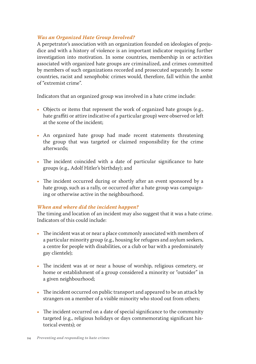# *Was an Organized Hate Group Involved?*

A perpetrator's association with an organization founded on ideologies of prejudice and with a history of violence is an important indicator requiring further investigation into motivation. In some countries, membership in or activities associated with organized hate groups are criminalized, and crimes committed by members of such organizations recorded and prosecuted separately. In some countries, racist and xenophobic crimes would, therefore, fall within the ambit of "extremist crime".

Indicators that an organized group was involved in a hate crime include:

- Objects or items that represent the work of organized hate groups (e.g., hate graffiti or attire indicative of a particular group) were observed or left at the scene of the incident;
- An organized hate group had made recent statements threatening the group that was targeted or claimed responsibility for the crime afterwards;
- The incident coincided with a date of particular significance to hate groups (e.g., Adolf Hitler's birthday); and
- The incident occurred during or shortly after an event sponsored by a hate group, such as a rally, or occurred after a hate group was campaigning or otherwise active in the neighbourhood.

# *When and where did the incident happen?*

The timing and location of an incident may also suggest that it was a hate crime. Indicators of this could include:

- The incident was at or near a place commonly associated with members of a particular minority group (e.g., housing for refugees and asylum seekers, a centre for people with disabilities, or a club or bar with a predominately gay clientele);
- The incident was at or near a house of worship, religious cemetery, or home or establishment of a group considered a minority or "outsider" in a given neighbourhood;
- The incident occurred on public transport and appeared to be an attack by strangers on a member of a visible minority who stood out from others;
- The incident occurred on a date of special significance to the community targeted (e.g., religious holidays or days commemorating significant historical events); or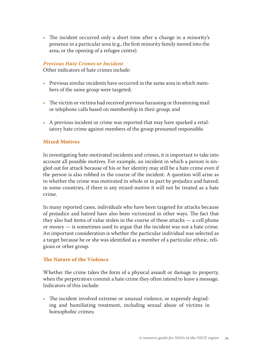• The incident occurred only a short time after a change in a minority's presence in a particular area (e.g., the first minority family moved into the area, or the opening of a refugee centre).

### *Previous Hate Crimes or Incident*

Other indicators of hate crimes include:

- Previous similar incidents have occurred in the same area in which members of the same group were targeted;
- The victim or victims had received previous harassing or threatening mail or telephone calls based on membership in their group; and
- A previous incident or crime was reported that may have sparked a retaliatory hate crime against members of the group presumed responsible.

#### **Mixed Motives**

In investigating hate-motivated incidents and crimes, it is important to take into account all possible motives. For example, an incident in which a person is singled out for attack because of his or her identity may still be a hate crime even if the person is also robbed in the course of the incident. A question will arise as to whether the crime was motivated in whole or in part by prejudice and hatred; in some countries, if there is any mixed motive it will not be treated as a hate crime.

In many reported cases, individuals who have been targeted for attacks because of prejudice and hatred have also been victimized in other ways. The fact that they also had items of value stolen in the course of these attacks — a cell phone or money — is sometimes used to argue that the incident was not a hate crime. An important consideration is whether the particular individual was selected as a target because he or she was identified as a member of a particular ethnic, religious or other group.

#### **The Nature of the Violence**

Whether the crime takes the form of a physical assault or damage to property, when the perpetrators commit a hate crime they often intend to leave a message. Indicators of this include:

• The incident involved extreme or unusual violence, or expressly degrading and humiliating treatment, including sexual abuse of victims in homophobic crimes;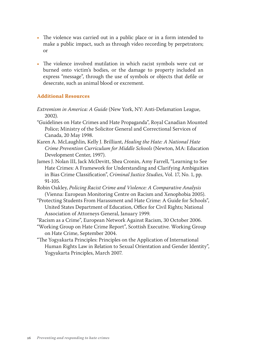- The violence was carried out in a public place or in a form intended to make a public impact, such as through video recording by perpetrators; or
- The violence involved mutilation in which racist symbols were cut or burned onto victim's bodies, or the damage to property included an express "message", through the use of symbols or objects that defile or desecrate, such as animal blood or excrement.

# **Additional Resources**

- *Extremism in America: A Guide* (New York, NY: Anti-Defamation League, 2002).
- "Guidelines on Hate Crimes and Hate Propaganda", Royal Canadian Mounted Police; Ministry of the Solicitor General and Correctional Services of Canada, 20 May 1998.
- Karen A. McLaughlin, Kelly J. Brilliant, *Healing the Hate: A National Hate Crime Prevention Curriculum for Middle Schools* (Newton, MA: Education Development Center, 1997).
- James J. Nolan III, Jack McDevitt, Shea Cronin, Amy Farrell, "Learning to See Hate Crimes: A Framework for Understanding and Clarifying Ambiguities in Bias Crime Classification", *Criminal Justice Studies*, Vol. 17, No. 1, pp. 91-105.
- Robin Oakley, *Policing Racist Crime and Violence: A Comparative Analysis*  (Vienna: European Monitoring Centre on Racism and Xenophobia 2005).
- "Protecting Students From Harassment and Hate Crime: A Guide for Schools", United States Department of Education, Office for Civil Rights; National Association of Attorneys General, January 1999.
- "Racism as a Crime", European Network Against Racism, 30 October 2006.
- "Working Group on Hate Crime Report", Scottish Executive. Working Group on Hate Crime, September 2004.
- "The Yogyakarta Principles: Principles on the Application of International Human Rights Law in Relation to Sexual Orientation and Gender Identity", Yogyakarta Principles, March 2007.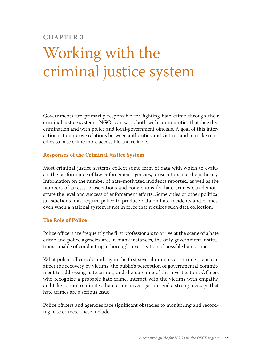# **Chapter 3**

# Working with the criminal justice system

Governments are primarily responsible for fighting hate crime through their criminal justice systems. NGOs can work both with communities that face discrimination and with police and local-government officials. A goal of this interaction is to improve relations between authorities and victims and to make remedies to hate crime more accessible and reliable.

#### **Responses of the Criminal Justice System**

Most criminal justice systems collect some form of data with which to evaluate the performance of law enforcement agencies, prosecutors and the judiciary. Information on the number of hate-motivated incidents reported, as well as the numbers of arrests, prosecutions and convictions for hate crimes can demonstrate the level and success of enforcement efforts. Some cities or other political jurisdictions may require police to produce data on hate incidents and crimes, even when a national system is not in force that requires such data collection.

#### **The Role of Police**

Police officers are frequently the first professionals to arrive at the scene of a hate crime and police agencies are, in many instances, the only government institutions capable of conducting a thorough investigation of possible hate crimes.

What police officers do and say in the first several minutes at a crime scene can affect the recovery by victims, the public's perception of governmental commitment to addressing hate crimes, and the outcome of the investigation. Officers who recognize a probable hate crime, interact with the victims with empathy, and take action to initiate a hate crime investigation send a strong message that hate crimes are a serious issue.

Police officers and agencies face significant obstacles to monitoring and recording hate crimes. These include: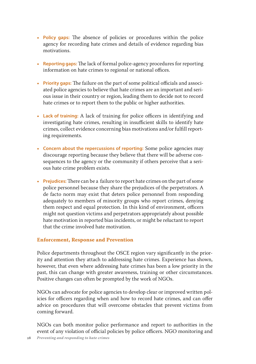- **Policy gaps:** The absence of policies or procedures within the police agency for recording hate crimes and details of evidence regarding bias motivations.
- **Reporting gaps:** The lack of formal police-agency procedures for reporting information on hate crimes to regional or national offices.
- **Priority gaps:** The failure on the part of some political officials and associated police agencies to believe that hate crimes are an important and serious issue in their country or region, leading them to decide not to record hate crimes or to report them to the public or higher authorities.
- **Lack of training:** A lack of training for police officers in identifying and investigating hate crimes, resulting in insufficient skills to identify hate crimes, collect evidence concerning bias motivations and/or fulfill reporting requirements.
- **Concern about the repercussions of reporting:** Some police agencies may discourage reporting because they believe that there will be adverse consequences to the agency or the community if others perceive that a serious hate crime problem exists.
- **Prejudices:** There can be a failure to report hate crimes on the part of some police personnel because they share the prejudices of the perpetrators. A de facto norm may exist that deters police personnel from responding adequately to members of minority groups who report crimes, denying them respect and equal protection. In this kind of environment, officers might not question victims and perpetrators appropriately about possible hate motivation in reported bias incidents, or might be reluctant to report that the crime involved hate motivation.

# **Enforcement, Response and Prevention**

Police departments throughout the OSCE region vary significantly in the priority and attention they attach to addressing hate crimes. Experience has shown, however, that even where addressing hate crimes has been a low priority in the past, this can change with greater awareness, training or other circumstances. Positive changes can often be prompted by the work of NGOs.

NGOs can advocate for police agencies to develop clear or improved written policies for officers regarding when and how to record hate crimes, and can offer advice on procedures that will overcome obstacles that prevent victims from coming forward.

NGOs can both monitor police performance and report to authorities in the event of any violation of official policies by police officers. NGO monitoring and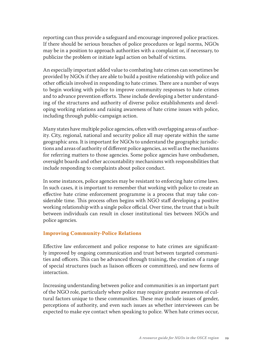reporting can thus provide a safeguard and encourage improved police practices. If there should be serious breaches of police procedures or legal norms, NGOs may be in a position to approach authorities with a complaint or, if necessary, to publicize the problem or initiate legal action on behalf of victims.

An especially important added value to combating hate crimes can sometimes be provided by NGOs if they are able to build a positive relationship with police and other officials involved in responding to hate crimes. There are a number of ways to begin working with police to improve community responses to hate crimes and to advance prevention efforts. These include developing a better understanding of the structures and authority of diverse police establishments and developing working relations and raising awareness of hate crime issues with police, including through public-campaign action.

Many states have multiple police agencies, often with overlapping areas of authority. City, regional, national and security police all may operate within the same geographic area. It is important for NGOs to understand the geographic jurisdictions and areas of authority of different police agencies, as well as the mechanisms for referring matters to those agencies. Some police agencies have ombudsmen, oversight boards and other accountability mechanisms with responsibilities that include responding to complaints about police conduct.

In some instances, police agencies may be resistant to enforcing hate crime laws. In such cases, it is important to remember that working with police to create an effective hate crime enforcement programme is a process that may take considerable time. This process often begins with NGO staff developing a positive working relationship with a single police official. Over time, the trust that is built between individuals can result in closer institutional ties between NGOs and police agencies.

#### **Improving Community-Police Relations**

Effective law enforcement and police response to hate crimes are significantly improved by ongoing communication and trust between targeted communities and officers. This can be advanced through training, the creation of a range of special structures (such as liaison officers or committees), and new forms of interaction.

Increasing understanding between police and communities is an important part of the NGO role, particularly where police may require greater awareness of cultural factors unique to these communities. These may include issues of gender, perceptions of authority, and even such issues as whether interviewees can be expected to make eye contact when speaking to police. When hate crimes occur,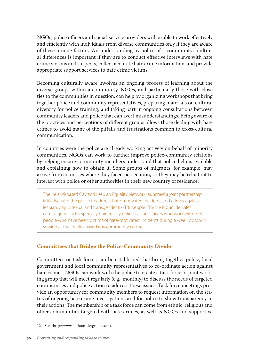NGOs, police officers and social-service providers will be able to work effectively and efficiently with individuals from diverse communities only if they are aware of these unique factors. An understanding by police of a community's cultural differences is important if they are to conduct effective interviews with hate crime victims and suspects, collect accurate hate crime information, and provide appropriate support services to hate crime victims.

Becoming culturally aware involves an ongoing process of learning about the diverse groups within a community. NGOs, and particularly those with close ties to the communities in question, can help by organizing workshops that bring together police and community representatives, preparing materials on cultural diversity for police training, and taking part in ongoing consultations between community leaders and police that can avert misunderstandings. Being aware of the practices and perceptions of different groups allows those dealing with hate crimes to avoid many of the pitfalls and frustrations common to cross-cultural communication.

In countries were the police are already working actively on behalf of minority communities, NGOs can work to further improve police-community relations by helping ensure community members understand that police help is available and explaining how to obtain it. Some groups of migrants, for example, may arrive from countries where they faced persecution, so they may be reluctant to interact with police or other authorities in their new country of residence.

The Ireland-based Gay and Lesbian Equality Network launched a joint partnership initiative with the police to address hate-motivated incidents and crimes against lesbian, gay, bisexual and transgender (LGTB) people. The "Be Proud, Be Safe" campaign includes specially trained gay police-liaison officers who work with LGBT people who have been victims of hate-motivated incidents during a weekly drop-in session at the Dublin-based gay community centre.<sup>12</sup>

# **Committees that Bridge the Police-Community Divide**

Committees or task forces can be established that bring together police, local government and local community representatives to co-ordinate action against hate crimes. NGOs can work with the police to create a task force or joint working group that will meet regularly (e.g., monthly) to discuss the needs of targeted communities and police action to address these issues. Task force meetings provide an opportunity for community members to request information on the status of ongoing hate crime investigations and for police to show transparency in their actions. The membership of a task force can come from ethnic, religious and other communities targeted with hate crimes, as well as NGOs and supportive

<sup>12</sup> See <http://www.outhouse.ie/groups.asp>.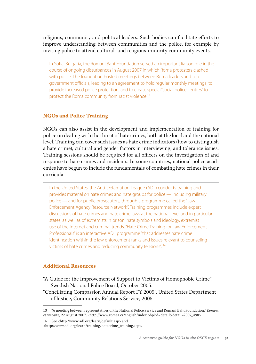religious, community and political leaders. Such bodies can facilitate efforts to improve understanding between communities and the police, for example by inviting police to attend cultural- and religious-minority community events.

In Sofia, Bulgaria, the Romani Baht Foundation served an important liaison role in the course of ongoing disturbances in August 2007 in which Roma protesters clashed with police. The foundation hosted meetings between Roma leaders and top government officials, leading to an agreement to hold regular monthly meetings, to provide increased police protection, and to create special "social police centres" to protect the Roma community from racist violence.<sup>13</sup>

### **NGOs and Police Training**

NGOs can also assist in the development and implementation of training for police on dealing with the threat of hate crimes, both at the local and the national level. Training can cover such issues as hate crime indicators (how to distinguish a hate crime), cultural and gender factors in interviewing, and tolerance issues. Training sessions should be required for all officers on the investigation of and response to hate crimes and incidents. In some countries, national police academies have begun to include the fundamentals of combating hate crimes in their curricula.

In the United States, the Anti-Defamation League (ADL) conducts training and provides material on hate crimes and hate groups for police — including military police — and for public prosecutors, through a programme called the "Law Enforcement Agency Resource Network". Training programmes include expert discussions of hate crimes and hate crime laws at the national level and in particular states, as well as of extremists in prison, hate symbols and ideology, extremist use of the Internet and criminal trends. "Hate Crime Training for Law Enforcement Professionals" is an interactive ADL programme "that addresses hate crime identification within the law enforcement ranks and issues relevant to counseling victims of hate crimes and reducing community tensions". 14

#### **Additional Resources**

- "A Guide for the Improvement of Support to Victims of Homophobic Crime", Swedish National Police Board, October 2005.
- "Conciliating Compassion Annual Report FY 2005", United States Department of Justice, Community Relations Service, 2005.

14 See <http://www.adl.org/learn/default.asp> and

<http://www.adl.org/learn/training/hatecrime\_training.asp>.

<sup>13 &</sup>quot;A meeting between representatives of the National Police Service and Romani Baht Foundation," *Romea. cz* website, 22 August 2007, <http://www.romea.cz/english/index.php?id=detail&detail=2007\_498>.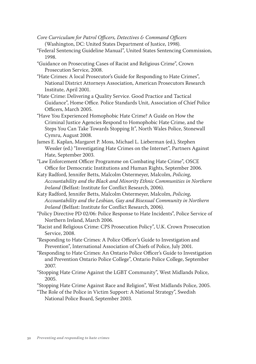- *Core Curriculum for Patrol Officers, Detectives & Command Officers*  (Washington, DC: United States Department of Justice, 1998).
- "Federal Sentencing Guideline Manual", United States Sentencing Commission, 1998.
- "Guidance on Prosecuting Cases of Racist and Religious Crime", Crown Prosecution Service, 2008.
- "Hate Crimes: A local Prosecutor's Guide for Responding to Hate Crimes", National District Attorneys Association, American Prosecutors Research Institute, April 2001.
- "Hate Crime: Delivering a Quality Service. Good Practice and Tactical Guidance", Home Office. Police Standards Unit, Association of Chief Police Officers, March 2005.
- "Have You Experienced Homophobic Hate Crime? A Guide on How the Criminal Justice Agencies Respond to Homophobic Hate Crime, and the Steps You Can Take Towards Stopping It", North Wales Police, Stonewall Cymru, August 2008.
- James E. Kaplan, Margaret P. Moss, Michael L. Lieberman (ed.), Stephen Wessler (ed.) "Investigating Hate Crimes on the Internet", Partners Against Hate, September 2003.
- "Law Enforcement Officer Programme on Combating Hate Crime", OSCE Office for Democratic Institutions and Human Rights, September 2006.
- Katy Radford, Jennifer Betts, Malcolm Ostermeyer, Malcolm, *Policing, Accountability and the Black and Minority Ethnic Communities in Northern Ireland* (Belfast: Institute for Conflict Research, 2006).
- Katy Radford, Jennifer Betts, Malcolm Ostermeyer, Malcolm, *Policing, Accountability and the Lesbian, Gay and Bisexual Community in Northern Ireland* (Belfast: Institute for Conflict Research, 2006).
- "Policy Directive PD 02/06: Police Response to Hate Incidents", Police Service of Northern Ireland, March 2006.
- "Racist and Religious Crime: CPS Prosecution Policy", U.K. Crown Prosecution Service, 2008.
- "Responding to Hate Crimes: A Police Officer's Guide to Investigation and Prevention", International Association of Chiefs of Police, July 2001.
- "Responding to Hate Crimes: An Ontario Police Officer's Guide to Investigation and Prevention Ontario Police College", Ontario Police College, September 2007.
- "Stopping Hate Crime Against the LGBT Community", West Midlands Police, 2005.
- "Stopping Hate Crime Against Race and Religion", West Midlands Police, 2005.
- "The Role of the Police in Victim Support: A National Strategy", Swedish National Police Board, September 2003.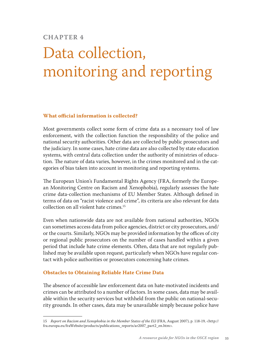# **Chapter 4**

# Data collection, monitoring and reporting

#### **What official information is collected?**

Most governments collect some form of crime data as a necessary tool of law enforcement, with the collection function the responsibility of the police and national security authorities. Other data are collected by public prosecutors and the judiciary. In some cases, hate crime data are also collected by state education systems, with central data collection under the authority of ministries of education. The nature of data varies, however, in the crimes monitored and in the categories of bias taken into account in monitoring and reporting systems.

The European Union's Fundamental Rights Agency (FRA, formerly the European Monitoring Centre on Racism and Xenophobia), regularly assesses the hate crime data-collection mechanisms of EU Member States. Although defined in terms of data on "racist violence and crime", its criteria are also relevant for data collection on all violent hate crimes.15

Even when nationwide data are not available from national authorities, NGOs can sometimes access data from police agencies, district or city prosecutors, and/ or the courts. Similarly, NGOs may be provided information by the offices of city or regional public prosecutors on the number of cases handled within a given period that include hate crime elements. Often, data that are not regularly published may be available upon request, particularly when NGOs have regular contact with police authorities or prosecutors concerning hate crimes.

# **Obstacles to Obtaining Reliable Hate Crime Data**

The absence of accessible law enforcement data on hate-motivated incidents and crimes can be attributed to a number of factors. In some cases, data may be available within the security services but withheld from the public on national-security grounds. In other cases, data may be unavailable simply because police have

<sup>15</sup> *Report on Racism and Xenophobia in the Member States of the EU* (FRA, August 2007), p. 118-19, <http:// fra.europa.eu/fraWebsite/products/publications\_reports/ar2007\_part2\_en.htm>.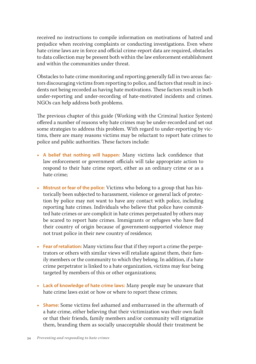received no instructions to compile information on motivations of hatred and prejudice when receiving complaints or conducting investigations. Even where hate crime laws are in force and official crime-report data are required, obstacles to data collection may be present both within the law enforcement establishment and within the communities under threat.

Obstacles to hate crime monitoring and reporting generally fall in two areas: factors discouraging victims from reporting to police, and factors that result in incidents not being recorded as having hate motivations. These factors result in both under-reporting and under-recording of hate-motivated incidents and crimes. NGOs can help address both problems.

The previous chapter of this guide (Working with the Criminal Justice System) offered a number of reasons why hate crimes may be under-recorded and set out some strategies to address this problem. With regard to under-reporting by victims, there are many reasons victims may be reluctant to report hate crimes to police and public authorities. These factors include:

- **A belief that nothing will happen:** Many victims lack confidence that law enforcement or government officials will take appropriate action to respond to their hate crime report, either as an ordinary crime or as a hate crime;
- **Mistrust or fear of the police:** Victims who belong to a group that has historically been subjected to harassment, violence or general lack of protection by police may not want to have any contact with police, including reporting hate crimes. Individuals who believe that police have committed hate crimes or are complicit in hate crimes perpetuated by others may be scared to report hate crimes. Immigrants or refugees who have fled their country of origin because of government-supported violence may not trust police in their new country of residence;
- **Fear of retaliation:** Many victims fear that if they report a crime the perpetrators or others with similar views will retaliate against them, their family members or the community to which they belong. In addition, if a hate crime perpetrator is linked to a hate organization, victims may fear being targeted by members of this or other organizations;
- **Lack of knowledge of hate crime laws:** Many people may be unaware that hate crime laws exist or how or where to report these crimes;
- **Shame:** Some victims feel ashamed and embarrassed in the aftermath of a hate crime, either believing that their victimization was their own fault or that their friends, family members and/or community will stigmatize them, branding them as socially unacceptable should their treatment be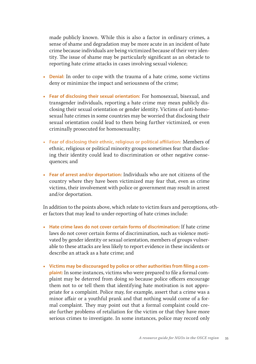made publicly known. While this is also a factor in ordinary crimes, a sense of shame and degradation may be more acute in an incident of hate crime because individuals are being victimized because of their very identity. The issue of shame may be particularly significant as an obstacle to reporting hate crime attacks in cases involving sexual violence;

- **Denial:** In order to cope with the trauma of a hate crime, some victims deny or minimize the impact and seriousness of the crime;
- **Fear of disclosing their sexual orientation:** For homosexual, bisexual, and transgender individuals, reporting a hate crime may mean publicly disclosing their sexual orientation or gender identity. Victims of anti-homosexual hate crimes in some countries may be worried that disclosing their sexual orientation could lead to them being further victimized, or even criminally prosecuted for homosexuality;
- **Fear of disclosing their ethnic, religious or political affiliation:** Members of ethnic, religious or political minority groups sometimes fear that disclosing their identity could lead to discrimination or other negative consequences; and
- **Fear of arrest and/or deportation:** Individuals who are not citizens of the country where they have been victimized may fear that, even as crime victims, their involvement with police or government may result in arrest and/or deportation.

In addition to the points above, which relate to victim fears and perceptions, other factors that may lead to under-reporting of hate crimes include:

- **Hate crime laws do not cover certain forms of discrimination:** If hate crime laws do not cover certain forms of discrimination, such as violence motivated by gender identity or sexual orientation, members of groups vulnerable to these attacks are less likely to report evidence in these incidents or describe an attack as a hate crime; and
- **Victims may be discouraged by police or other authorities from filing a complaint:** In some instances, victims who were prepared to file a formal complaint may be deterred from doing so because police officers encourage them not to or tell them that identifying hate motivation is not appropriate for a complaint. Police may, for example, assert that a crime was a minor affair or a youthful prank and that nothing would come of a formal complaint. They may point out that a formal complaint could create further problems of retaliation for the victim or that they have more serious crimes to investigate. In some instances, police may record only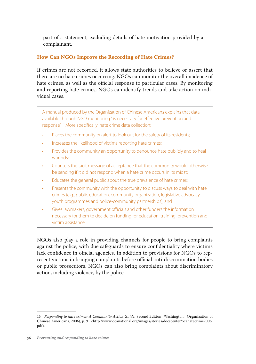part of a statement, excluding details of hate motivation provided by a complainant.

# **How Can NGOs Improve the Recording of Hate Crimes?**

If crimes are not recorded, it allows state authorities to believe or assert that there are no hate crimes occurring. NGOs can monitor the overall incidence of hate crimes, as well as the official response to particular cases. By monitoring and reporting hate crimes, NGOs can identify trends and take action on individual cases.

A manual produced by the Organization of Chinese Americans explains that data available through NGO monitoring " is necessary for effective prevention and response".15 More specifically, hate crime data collection:

- Places the community on alert to look out for the safety of its residents;
- Increases the likelihood of victims reporting hate crimes;
- Provides the community an opportunity to denounce hate publicly and to heal wounds;
- Counters the tacit message of acceptance that the community would otherwise be sending if it did not respond when a hate crime occurs in its midst;
- Educates the general public about the true prevalence of hate crimes;
- Presents the community with the opportunity to discuss ways to deal with hate crimes (e.g., public education, community organization, legislative advocacy, youth programmes and police-community partnerships); and
- Gives lawmakers, government officials and other funders the information necessary for them to decide on funding for education, training, prevention and victim assistance.

NGOs also play a role in providing channels for people to bring complaints against the police, with due safeguards to ensure confidentiality where victims lack confidence in official agencies. In addition to provisions for NGOs to represent victims in bringing complaints before official anti-discrimination bodies or public prosecutors, NGOs can also bring complaints about discriminatory action, including violence, by the police.

<sup>16</sup> *Responding to hate crimes: A Community Action Guide,* Second Edition (Washington: Organization of Chinese Americans, 2006), p. 9. <http://www.ocanational.org/images/stories/docscenter/ocahatecrime2006. pdf>.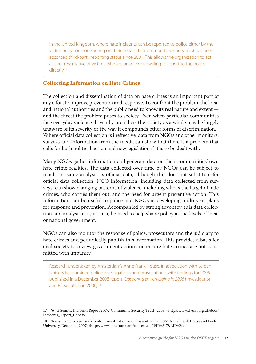In the United Kingdom, where hate incidents can be reported to police either by the victim or by someone acting on their behalf, the Community Security Trust has been accorded third-party reporting status since 2001. This allows the organization to act as a representative of victims who are unable or unwilling to report to the police directly.<sup>17</sup>

### **Collecting Information on Hate Crimes**

The collection and dissemination of data on hate crimes is an important part of any effort to improve prevention and response. To confront the problem, the local and national authorities and the public need to know its real nature and extent and the threat the problem poses to society. Even when particular communities face everyday violence driven by prejudice, the society as a whole may be largely unaware of its severity or the way it compounds other forms of discrimination. Where official data collection is ineffective, data from NGOs and other monitors, surveys and information from the media can show that there is a problem that calls for both political action and new legislation if it is to be dealt with.

Many NGOs gather information and generate data on their communities' own hate crime realities. The data collected over time by NGOs can be subject to much the same analysis as official data, although this does not substitute for official data collection. NGO information, including data collected from surveys, can show changing patterns of violence, including who is the target of hate crimes, who carries them out, and the need for urgent preventive action. This information can be useful to police and NGOs in developing multi-year plans for response and prevention. Accompanied by strong advocacy, this data collection and analysis can, in turn, be used to help shape policy at the levels of local or national government.

NGOs can also monitor the response of police, prosecutors and the judiciary to hate crimes and periodically publish this information. This provides a basis for civil society to review government action and ensure hate crimes are not committed with impunity.

Research undertaken by Amsterdam's Anne Frank House, in association with Leiden University, examined police investigations and prosecutions, with findings for 2006 published in a December 2008 report, *Opsporing en vervolging in 2006* (Investigation and Prosecution in 2006).<sup>18</sup>

<sup>17</sup> "Anti-Semitic Incidents Report 2007," Community Security Trust, 2008, <http://www.thecst.org.uk/docs/ Incidents\_Report\_07.pdf>.

<sup>18</sup> "Racism and Extremism Monitor: Investigation and Prosecution in 2006", Anne Frank House and Leiden University, December 2007, <http://www.annefrank.org/content.asp?PID=817&LID=2>.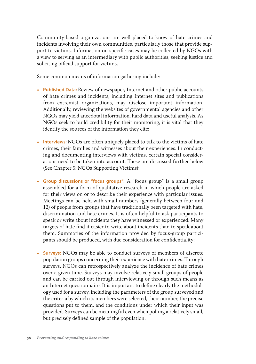Community-based organizations are well placed to know of hate crimes and incidents involving their own communities, particularly those that provide support to victims. Information on specific cases may be collected by NGOs with a view to serving as an intermediary with public authorities, seeking justice and soliciting official support for victims.

Some common means of information gathering include:

- **Published Data:** Review of newspaper, Internet and other public accounts of hate crimes and incidents, including Internet sites and publications from extremist organizations, may disclose important information. Additionally, reviewing the websites of governmental agencies and other NGOs may yield anecdotal information, hard data and useful analysis. As NGOs seek to build credibility for their monitoring, it is vital that they identify the sources of the information they cite;
- **Interviews:** NGOs are often uniquely placed to talk to the victims of hate crimes, their families and witnesses about their experiences. In conducting and documenting interviews with victims, certain special considerations need to be taken into account. These are discussed further below (See Chapter 5: NGOs Supporting Victims);
- **Group discussions or "focus groups":** A "focus group" is a small group assembled for a form of qualitative research in which people are asked for their views on or to describe their experience with particular issues. Meetings can be held with small numbers (generally between four and 12) of people from groups that have traditionally been targeted with hate, discrimination and hate crimes. It is often helpful to ask participants to speak or write about incidents they have witnessed or experienced. Many targets of hate find it easier to write about incidents than to speak about them. Summaries of the information provided by focus-group participants should be produced, with due consideration for confidentiality;
- **Surveys:** NGOs may be able to conduct surveys of members of discrete population groups concerning their experience with hate crimes. Through surveys, NGOs can retrospectively analyze the incidence of hate crimes over a given time. Surveys may involve relatively small groups of people and can be carried out through interviewing or through such means as an Internet questionnaire. It is important to define clearly the methodology used for a survey, including the parameters of the group surveyed and the criteria by which its members were selected, their number, the precise questions put to them, and the conditions under which their input was provided. Surveys can be meaningful even when polling a relatively small, but precisely defined sample of the population.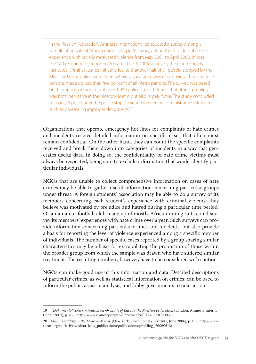In the Russian Federation, Amnesty International conducted a survey among a sample of people of African origin living in Moscow, asking them to describe their experience with racially motivated violence from May 2001 to April 2002. In total, the 180 respondents reported 204 attacks.<sup>19</sup> A 2006 survey by the Open Society Institute's Criminal Justice Initiative found that over half of all people stopped by the Moscow Metro police were riders whose appearance was non-Slavic, although these persons made up less than five per cent of all Metro patrons. The survey was based on the reports of monitors at over 1,000 police stops. It found that ethnic profiling was both pervasive in the Moscow Metro but also largely futile: The study concluded that only 3 per cent of the police stops "resulted in even an administrative infraction such as possessing improper documents".<sup>20</sup>

Organizations that operate emergency hot lines for complaints of hate crimes and incidents receive detailed information on specific cases that often must remain confidential. On the other hand, they can count the specific complaints received and break them down into categories of incidents in a way that generates useful data. In doing so, the confidentiality of hate crime victims must always be respected, being sure to exclude information that would identify particular individuals.

NGOs that are unable to collect comprehensive information on cases of hate crimes may be able to gather useful information concerning particular groups under threat. A foreign students' association may be able to do a survey of its members concerning each student's experience with criminal violence they believe was motivated by prejudice and hatred during a particular time period. Or an amateur football club made up of mostly African immigrants could survey its members' experiences with hate crime over a year. Such surveys can provide information concerning particular crimes and incidents, but also provide a basis for reporting the level of violence experienced among a specific number of individuals. The number of specific cases reported by a group sharing similar characteristics may be a basis for extrapolating the proportion of those within the broader group from which the sample was drawn who have suffered similar treatment. The resulting numbers, however, have to be considered with caution.

NGOs can make good use of this information and data. Detailed descriptions of particular crimes, as well as statistical information on crimes, can be used to inform the public, assist in analysis, and lobby governments to take action.

<sup>19</sup> *"Dokumenty!" Discrimination on Grounds of Race in the Russian Federation* (London: Amnesty International, 2003), p. 43, <http://www.amnesty.org/en/library/info/EUR46/001/2003>.

<sup>20</sup> *Ethnic Profiling in the Moscow Metro,* (New York, Open Society Institute, June 2006), p. 10, <http://www. soros.org/initiatives/osji/articles\_publications/publications/profiling\_20060613>.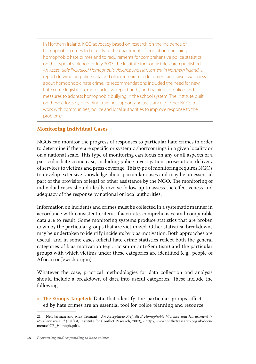In Northern Ireland, NGO advocacy based on research on the incidence of homophobic crimes led directly to the enactment of legislation punishing homophobic hate crimes and to requirements for comprehensive police statistics on this type of violence. In July 2003, the Institute for Conflict Research published *An Acceptable Prejudice? Homophobic Violence and Harassment in Northern Ireland,* a report drawing on police data and other research to document and raise awareness about homophobic hate crime. Its recommendations included the need for new hate crime legislation, more inclusive reporting by and training for police, and measures to address homophobic bullying in the school system. The Institute built on these efforts by providing training, support and assistance to other NGOs to work with communities, police and local authorities to improve response to the problem.21

## **Monitoring Individual Cases**

NGOs can monitor the progress of responses to particular hate crimes in order to determine if there are specific or systemic shortcomings in a given locality or on a national scale. This type of monitoring can focus on any or all aspects of a particular hate crime case, including police investigation, prosecution, delivery of services to victims and press coverage. This type of monitoring requires NGOs to develop extensive knowledge about particular cases and may be an essential part of the provision of legal or other assistance by the NGO. The monitoring of individual cases should ideally involve follow-up to assess the effectiveness and adequacy of the response by national or local authorities.

Information on incidents and crimes must be collected in a systematic manner in accordance with consistent criteria if accurate, comprehensive and comparable data are to result. Some monitoring systems produce statistics that are broken down by the particular groups that are victimized. Other statistical breakdowns may be undertaken to identify incidents by bias motivation. Both approaches are useful, and in some cases official hate crime statistics reflect both the general categories of bias motivation (e.g., racism or anti-Semitism) and the particular groups with which victims under these categories are identified (e.g., people of African or Jewish origin).

Whatever the case, practical methodologies for data collection and analysis should include a breakdown of data into useful categories. These include the following:

• **The Groups Targeted:** Data that identify the particular groups affected by hate crimes are an essential tool for police planning and resource

<sup>21</sup> Neil Jarman and Alex Tennant, *An Acceptable Prejudice? Homophobic Violence and Harassment in Northern Ireland* (Belfast, Institute for Conflict Research, 2003), <http://www.conflictresearch.org.uk/documents/ICR\_Homoph.pdf>.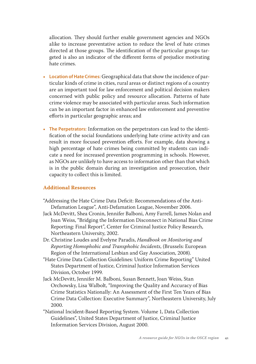allocation. They should further enable government agencies and NGOs alike to increase preventative action to reduce the level of hate crimes directed at those groups. The identification of the particular groups targeted is also an indicator of the different forms of prejudice motivating hate crimes.

- **Location of Hate Crimes:** Geographical data that show the incidence of particular kinds of crime in cities, rural areas or distinct regions of a country are an important tool for law enforcement and political decision makers concerned with public policy and resource allocation. Patterns of hate crime violence may be associated with particular areas. Such information can be an important factor in enhanced law enforcement and preventive efforts in particular geographic areas; and
- **The Perpetrators:** Information on the perpetrators can lead to the identification of the social foundations underlying hate crime activity and can result in more focused prevention efforts. For example, data showing a high percentage of hate crimes being committed by students can indicate a need for increased prevention programming in schools. However, as NGOs are unlikely to have access to information other than that which is in the public domain during an investigation and prosecution, their capacity to collect this is limited.

#### **Additional Resources**

- "Addressing the Hate Crime Data Deficit: Recommendations of the Anti-Defamation League", Anti-Defamation League, November 2006.
- Jack McDevitt, Shea Cronin, Jennifer Balboni, Amy Farrell, James Nolan and Joan Weiss, "Bridging the Information Disconnect in National Bias Crime Reporting: Final Report", Center for Criminal Justice Policy Research, Northeastern University, 2002.
- Dr. Christine Loudes and Evelyne Paradis, *Handbook on Monitoring and Reporting Homophobic and Transphobic Incidents*, (Brussels: European Region of the International Lesbian and Gay Association, 2008).
- "Hate Crime Data Collection Guidelines: Uniform Crime Reporting" United States Department of Justice, Criminal Justice Information Services Division, October 1999.
- Jack McDevitt, Jennifer M. Balboni, Susan Bennett, Joan Weiss, Stan Orchowsky, Lisa Walbolt, "Improving the Quality and Accuracy of Bias Crime Statistics Nationally: An Assessment of the First Ten Years of Bias Crime Data Collection: Executive Summary", Northeastern University, July 2000.
- "National Incident-Based Reporting System. Volume 1, Data Collection Guidelines", United States Department of Justice, Criminal Justice Information Services Division, August 2000.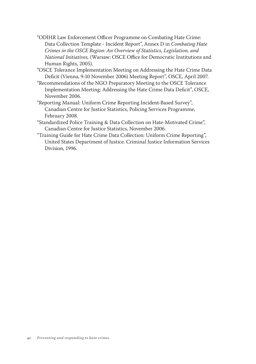- "ODIHR Law Enforcement Officer Programme on Combating Hate Crime: Data Collection Template - Incident Report", Annex D in *Combating Hate Crimes in the OSCE Region: An Overview of Statistics, Legislation, and National Initiatives,* (Warsaw: OSCE Office for Democratic Institutions and Human Rights, 2005).
- "OSCE Tolerance Implementation Meeting on Addressing the Hate Crime Data Deficit (Vienna, 9-10 November 2006) Meeting Report", OSCE, April 2007.
- "Recommendations of the NGO Preparatory Meeting to the OSCE Tolerance Implementation Meeting: Addressing the Hate Crime Data Deficit", OSCE, November 2006.
- "Reporting Manual: Uniform Crime Reporting Incident-Based Survey", Canadian Centre for Justice Statistics, Policing Services Programme, February 2008.
- "Standardized Police Training & Data Collection on Hate-Motivated Crime", Canadian Centre for Justice Statistics, November 2006.
- "Training Guide for Hate Crime Data Collection: Uniform Crime Reporting", United States Department of Justice. Criminal Justice Information Services Division, 1996.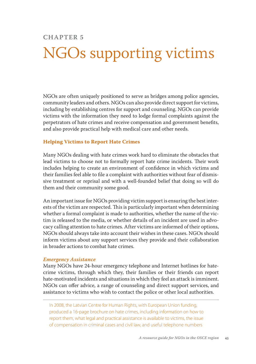## **Chapter 5**

# NGOs supporting victims

NGOs are often uniquely positioned to serve as bridges among police agencies, community leaders and others. NGOs can also provide direct support for victims, including by establishing centres for support and counseling. NGOs can provide victims with the information they need to lodge formal complaints against the perpetrators of hate crimes and receive compensation and government benefits, and also provide practical help with medical care and other needs.

## **Helping Victims to Report Hate Crimes**

Many NGOs dealing with hate crimes work hard to eliminate the obstacles that lead victims to choose not to formally report hate crime incidents. Their work includes helping to create an environment of confidence in which victims and their families feel able to file a complaint with authorities without fear of dismissive treatment or reprisal and with a well-founded belief that doing so will do them and their community some good.

An important issue for NGOs providing victim support is ensuring the best interests of the victim are respected. This is particularly important when determining whether a formal complaint is made to authorities, whether the name of the victim is released to the media, or whether details of an incident are used in advocacy calling attention to hate crimes. After victims are informed of their options, NGOs should always take into account their wishes in these cases. NGOs should inform victims about any support services they provide and their collaboration in broader actions to combat hate crimes.

#### *Emergency Assistance*

Many NGOs have 24-hour emergency telephone and Internet hotlines for hatecrime victims, through which they, their families or their friends can report hate-motivated incidents and situations in which they feel an attack is imminent. NGOs can offer advice, a range of counseling and direct support services, and assistance to victims who wish to contact the police or other local authorities.

In 2008, the Latvian Centre for Human Rights, with European Union funding, produced a 16-page brochure on hate crimes, including information on how to report them, what legal and practical assistance is available to victims, the issue of compensation in criminal cases and civil law, and useful telephone numbers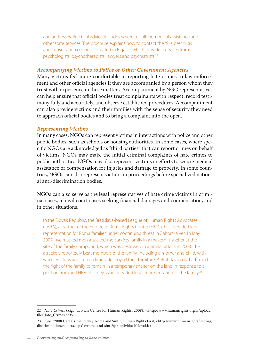and addresses. Practical advice includes where to call for medical assistance and other state services. The brochure explains how to contact the "Skalbes" crisis and consultation centre — located in Riga — which provides services from psychologists, psychotherapists, lawyers and psychiatrists.22

#### *Accompanying Victims to Police or Other Government Agencies*

Many victims feel more comfortable in reporting hate crimes to law enforcement and other official agencies if they are accompanied by a person whom they trust with experience in these matters. Accompaniment by NGO representatives can help ensure that official bodies treat complainants with respect, record testimony fully and accurately, and observe established procedures. Accompaniment can also provide victims and their families with the sense of security they need to approach official bodies and to bring a complaint into the open.

#### *Representing Victims*

In many cases, NGOs can represent victims in interactions with police and other public bodies, such as schools or housing authorities. In some cases, where specific NGOs are acknowledged as "third parties" that can report crimes on behalf of victims, NGOs may make the initial criminal complaints of hate crimes to public authorities. NGOs may also represent victims in efforts to secure medical assistance or compensation for injuries and damage to property. In some countries, NGOs can also represent victims in proceedings before specialized national anti-discrimination bodies.

NGOs can also serve as the legal representatives of hate crime victims in criminal cases, in civil court cases seeking financial damages and compensation, and in other situations.

In the Slovak Republic, the Bratislava-based League of Human Rights Advocates (LHRA), a partner of the European Roma Rights Centre (ERRC), has provided legal representation for Roma families under continuing threat in Zahorska Ves. In May 2007, five masked men attacked the Sarközy family in a makeshift shelter at the site of the family compound, which was destroyed in a similar attack in 2003. The attackers reportedly beat members of the family, including a mother and child, with wooden clubs and iron rods and destroyed their furniture. A Bratislava court affirmed the right of the family to remain in a temporary shelter on the land in response to a petition from an LHRA attorney, who provided legal representation to the family.23

<sup>22</sup> *Hate Crimes* (Riga: Latvian Centre for Human Rights, 2008), <http://www.humanrights.org.lv/upload\_ file/Hate\_Crimes.pdf>.

<sup>23</sup> See "2008 Hate Crime Survey: Roma and Sinti", Human Rights First, <http://www.humanrightsfirst.org/ discrimination/reports.aspx?s=roma-and-sinti&p=individual#slovakia>.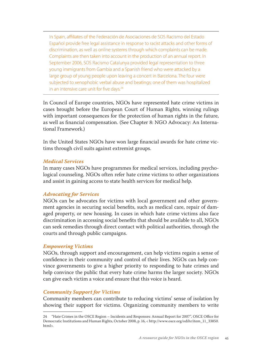In Spain, affiliates of the Federación de Asociaciones de SOS Racismo del Estado Español provide free legal assistance in response to racist attacks and other forms of discrimination, as well as online systems through which complaints can be made. Complaints are then taken into account in the production of an annual report. In September 2006, SOS Racismo Catalunya provided legal representation to three young immigrants from Gambia and a Spanish friend who were attacked by a large group of young people upon leaving a concert in Barcelona. The four were subjected to xenophobic verbal abuse and beatings; one of them was hospitalized in an intensive care unit for five days.<sup>24</sup>

In Council of Europe countries, NGOs have represented hate crime victims in cases brought before the European Court of Human Rights, winning rulings with important consequences for the protection of human rights in the future, as well as financial compensation. (See Chapter 8: NGO Advocacy: An International Framework.)

In the United States NGOs have won large financial awards for hate crime victims through civil suits against extremist groups.

#### *Medical Services*

In many cases NGOs have programmes for medical services, including psychological counseling. NGOs often refer hate crime victims to other organizations and assist in gaining access to state health services for medical help.

#### *Advocating for Services*

NGOs can be advocates for victims with local government and other government agencies in securing social benefits, such as medical care, repair of damaged property, or new housing. In cases in which hate crime victims also face discrimination in accessing social benefits that should be available to all, NGOs can seek remedies through direct contact with political authorities, through the courts and through public campaigns.

#### *Empowering Victims*

NGOs, through support and encouragement, can help victims regain a sense of confidence in their community and control of their lives. NGOs can help convince governments to give a higher priority to responding to hate crimes and help convince the public that every hate crime harms the larger society. NGOs can give each victim a voice and ensure that this voice is heard.

## *Community Support for Victims*

Community members can contribute to reducing victims' sense of isolation by showing their support for victims. Organizing community members to write

<sup>24 &</sup>quot;Hate Crimes in the OSCE Region – Incidents and Responses: Annual Report for 2007", OSCE Office for Democratic Institutions and Human Rights, October 2008, p. 16, < http://www.osce.org/odihr/item\_11\_33850. html>.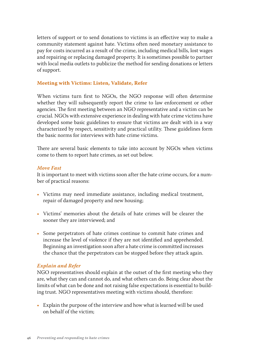letters of support or to send donations to victims is an effective way to make a community statement against hate. Victims often need monetary assistance to pay for costs incurred as a result of the crime, including medical bills, lost wages and repairing or replacing damaged property. It is sometimes possible to partner with local media outlets to publicize the method for sending donations or letters of support.

#### **Meeting with Victims: Listen, Validate, Refer**

When victims turn first to NGOs, the NGO response will often determine whether they will subsequently report the crime to law enforcement or other agencies. The first meeting between an NGO representative and a victim can be crucial. NGOs with extensive experience in dealing with hate crime victims have developed some basic guidelines to ensure that victims are dealt with in a way characterized by respect, sensitivity and practical utility. These guidelines form the basic norms for interviews with hate crime victims.

There are several basic elements to take into account by NGOs when victims come to them to report hate crimes, as set out below.

## *Move Fast*

It is important to meet with victims soon after the hate crime occurs, for a number of practical reasons:

- Victims may need immediate assistance, including medical treatment, repair of damaged property and new housing;
- Victims' memories about the details of hate crimes will be clearer the sooner they are interviewed; and
- Some perpetrators of hate crimes continue to commit hate crimes and increase the level of violence if they are not identified and apprehended. Beginning an investigation soon after a hate crime is committed increases the chance that the perpetrators can be stopped before they attack again.

#### *Explain and Refer*

NGO representatives should explain at the outset of the first meeting who they are, what they can and cannot do, and what others can do. Being clear about the limits of what can be done and not raising false expectations is essential to building trust. NGO representatives meeting with victims should, therefore:

• Explain the purpose of the interview and how what is learned will be used on behalf of the victim;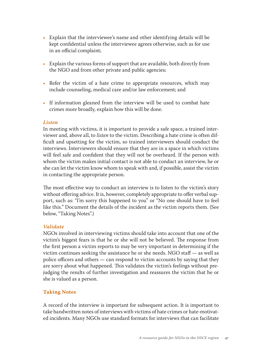- Explain that the interviewee's name and other identifying details will be kept confidential unless the interviewee agrees otherwise, such as for use in an official complaint;
- Explain the various forms of support that are available, both directly from the NGO and from other private and public agencies;
- Refer the victim of a hate crime to appropriate resources, which may include counseling, medical care and/or law enforcement; and
- If information gleaned from the interview will be used to combat hate crimes more broadly, explain how this will be done.

#### *Listen*

In meeting with victims, it is important to provide a safe space, a trained interviewer and, above all, to *listen* to the victim. Describing a hate crime is often difficult and upsetting for the victim, so trained interviewers should conduct the interviews. Interviewers should ensure that they are in a space in which victims will feel safe and confident that they will not be overheard. If the person with whom the victim makes initial contact is not able to conduct an interview, he or she can let the victim know whom to speak with and, if possible, assist the victim in contacting the appropriate person.

The most effective way to conduct an interview is to listen to the victim's story without offering advice. It is, however, completely appropriate to offer verbal support, such as: "I'm sorry this happened to you" or "No one should have to feel like this." Document the details of the incident as the victim reports them. (See below, "Taking Notes".)

#### *Validate*

NGOs involved in interviewing victims should take into account that one of the victim's biggest fears is that he or she will not be believed. The response from the first person a victim reports to may be very important in determining if the victim continues seeking the assistance he or she needs. NGO staff — as well as police officers and others — can respond to victim accounts by saying that they are sorry about what happened. This validates the victim's feelings without prejudging the results of further investigation and reassures the victim that he or she is valued as a person.

## **Taking Notes**

A record of the interview is important for subsequent action. It is important to take handwritten notes of interviews with victims of hate crimes or hate-motivated incidents. Many NGOs use standard formats for interviews that can facilitate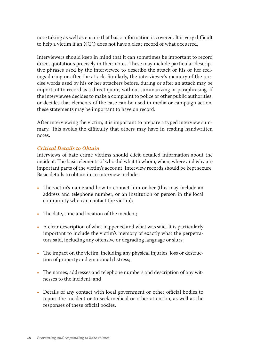note taking as well as ensure that basic information is covered. It is very difficult to help a victim if an NGO does not have a clear record of what occurred.

Interviewers should keep in mind that it can sometimes be important to record direct quotations precisely in their notes. These may include particular descriptive phrases used by the interviewee to describe the attack or his or her feelings during or after the attack. Similarly, the interviewee's memory of the precise words used by his or her attackers before, during or after an attack may be important to record as a direct quote, without summarizing or paraphrasing. If the interviewee decides to make a complaint to police or other public authorities, or decides that elements of the case can be used in media or campaign action, these statements may be important to have on record.

After interviewing the victim, it is important to prepare a typed interview summary. This avoids the difficulty that others may have in reading handwritten notes.

## *Critical Details to Obtain*

Interviews of hate crime victims should elicit detailed information about the incident. The basic elements of who did what to whom, when, where and why are important parts of the victim's account. Interview records should be kept secure. Basic details to obtain in an interview include:

- The victim's name and how to contact him or her (this may include an address and telephone number, or an institution or person in the local community who can contact the victim);
- The date, time and location of the incident;
- A clear description of what happened and what was said. It is particularly important to include the victim's memory of exactly what the perpetrators said, including any offensive or degrading language or slurs;
- The impact on the victim, including any physical injuries, loss or destruction of property and emotional distress;
- The names, addresses and telephone numbers and description of any witnesses to the incident; and
- Details of any contact with local government or other official bodies to report the incident or to seek medical or other attention, as well as the responses of these official bodies.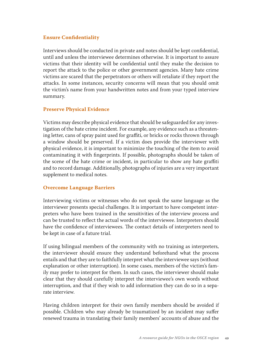## **Ensure Confidentiality**

Interviews should be conducted in private and notes should be kept confidential, until and unless the interviewee determines otherwise. It is important to assure victims that their identity will be confidential until they make the decision to report the attack to the police or other government agencies. Many hate crime victims are scared that the perpetrators or others will retaliate if they report the attacks. In some instances, security concerns will mean that you should omit the victim's name from your handwritten notes and from your typed interview summary.

## **Preserve Physical Evidence**

Victims may describe physical evidence that should be safeguarded for any investigation of the hate crime incident. For example, any evidence such as a threatening letter, cans of spray paint used for graffiti, or bricks or rocks thrown through a window should be preserved. If a victim does provide the interviewer with physical evidence, it is important to minimize the touching of the item to avoid contaminating it with fingerprints. If possible, photographs should be taken of the scene of the hate crime or incident, in particular to show any hate graffiti and to record damage. Additionally, photographs of injuries are a very important supplement to medical notes.

## **Overcome Language Barriers**

Interviewing victims or witnesses who do not speak the same language as the interviewer presents special challenges. It is important to have competent interpreters who have been trained in the sensitivities of the interview process and can be trusted to reflect the actual words of the interviewee. Interpreters should have the confidence of interviewees. The contact details of interpreters need to be kept in case of a future trial.

If using bilingual members of the community with no training as interpreters, the interviewer should ensure they understand beforehand what the process entails and that they are to faithfully interpret what the interviewee says (without explanation or other interruption). In some cases, members of the victim's family may prefer to interpret for them. In such cases, the interviewer should make clear that they should carefully interpret the interviewee's own words without interruption, and that if they wish to add information they can do so in a separate interview.

Having children interpret for their own family members should be avoided if possible. Children who may already be traumatized by an incident may suffer renewed trauma in translating their family members' accounts of abuse and the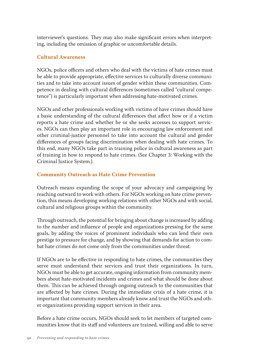interviewer's questions. They may also make significant errors when interpreting, including the omission of graphic or uncomfortable details.

## **Cultural Awareness**

NGOs, police officers and others who deal with the victims of hate crimes must be able to provide appropriate, effective services to culturally diverse communities and to take into account issues of gender within these communities. Competence in dealing with cultural differences (sometimes called "cultural competence") is particularly important when addressing hate-motivated crimes.

NGOs and other professionals working with victims of have crimes should have a basic understanding of the cultural differences that affect how or if a victim reports a hate crime and whether he or she seeks accesses to support services. NGOs can then play an important role in encouraging law enforcement and other criminal-justice personnel to take into account the cultural and gender differences of groups facing discrimination when dealing with hate crimes. To this end, many NGOs take part in training police in cultural awareness as part of training in how to respond to hate crimes. (See Chapter 3: Working with the Criminal Justice System.).

## **Community Outreach as Hate Crime Prevention**

Outreach means expanding the scope of your advocacy and campaigning by reaching outward to work with others. For NGOs working on hate crime prevention, this means developing working relations with other NGOs and with social, cultural and religious groups within the community.

Through outreach, the potential for bringing about change is increased by adding to the number and influence of people and organizations pressing for the same goals, by adding the voices of prominent individuals who can lend their own prestige to pressure for change, and by showing that demands for action to combat hate crimes do not come only from the communities under threat.

If NGOs are to be effective in responding to hate crimes, the communities they serve must understand their services and trust their organizations. In turn, NGOs must be able to get accurate, ongoing information from community members about hate-motivated incidents and crimes and what should be done about them. This can be achieved through ongoing outreach to the communities that are affected by hate crimes. During the immediate crisis of a hate crime, it is important that community members already know and trust the NGOs and other organizations providing support services in their area.

Before a hate crime occurs, NGOs should seek to let members of targeted communities know that its staff and volunteers are trained, willing and able to serve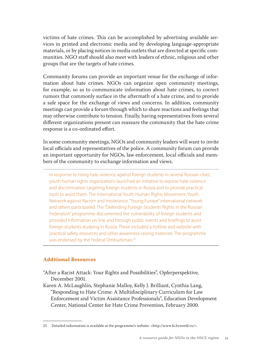victims of hate crimes. This can be accomplished by advertising available services in printed and electronic media and by developing language-appropriate materials, or by placing notices in media outlets that are directed at specific communities. NGO staff should also meet with leaders of ethnic, religious and other groups that are the targets of hate crimes.

Community forums can provide an important venue for the exchange of information about hate crimes. NGOs can organize open community meetings, for example, so as to communicate information about hate crimes, to correct rumors that commonly surface in the aftermath of a hate crime, and to provide a safe space for the exchange of views and concerns. In addition, community meetings can provide a forum through which to share reactions and feelings that may otherwise contribute to tension. Finally, having representatives from several different organizations present can reassure the community that the hate crime response is a co-ordinated effort.

In some community meetings, NGOs and community leaders will want to invite local officials and representatives of the police. A community forum can provide an important opportunity for NGOs, law enforcement, local officials and members of the community to exchange information and views.

In response to rising hate violence against foreign students in several Russian cities, youth human rights organizations launched an initiative to expose hate violence and discrimination targeting foreign students in Russia and to provide practical tools to assist them. The International Youth Human Rights Movement, Youth Network against Racism and Intolerance, "Young Europe" international network and others participated. The "Defending Foreign Students' Rights in the Russian Federation" programme documented the vulnerability of foreign students and provided information on line and through public events and briefings to assist foreign students studying in Russia. These included a hotline and website with practical safety resources and other awareness-raising materials. The programme was endorsed by the Federal Ombudsman.25

#### **Additional Resources**

- "After a Racist Attack: Your Rights and Possibilities", Opferperspektive, December 2001.
- Karen A. McLaughlin, Stephanie Malloy, Kelly J. Brilliant, Cynthia Lang, "Responding to Hate Crime: A Multidisciplinary Curriculum for Law Enforcement and Victim Assistance Professionals", Education Development Center, National Center for Hate Crime Prevention, February 2000.

<sup>25</sup> Detailed information is available at the programme's website: <http://www.fs.hrworld.ru/>.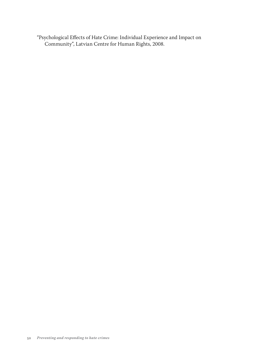"Psychological Effects of Hate Crime: Individual Experience and Impact on Community", Latvian Centre for Human Rights, 2008.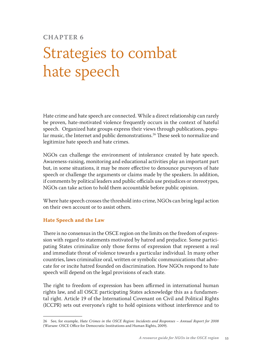## **Chapter 6**

# Strategies to combat hate speech

Hate crime and hate speech are connected. While a direct relationship can rarely be proven, hate-motivated violence frequently occurs in the context of hateful speech. Organized hate groups express their views through publications, popular music, the Internet and public demonstrations.<sup>26</sup> These seek to normalize and legitimize hate speech and hate crimes.

NGOs can challenge the environment of intolerance created by hate speech. Awareness-raising, monitoring and educational activities play an important part but, in some situations, it may be more effective to denounce purveyors of hate speech or challenge the arguments or claims made by the speakers. In addition, if comments by political leaders and public officials use prejudices or stereotypes, NGOs can take action to hold them accountable before public opinion.

Where hate speech crosses the threshold into crime, NGOs can bring legal action on their own account or to assist others.

## **Hate Speech and the Law**

There is no consensus in the OSCE region on the limits on the freedom of expression with regard to statements motivated by hatred and prejudice. Some participating States criminalize only those forms of expression that represent a real and immediate threat of violence towards a particular individual. In many other countries, laws criminalize oral, written or symbolic communications that advocate for or incite hatred founded on discrimination. How NGOs respond to hate speech will depend on the legal provisions of each state.

The right to freedom of expression has been affirmed in international human rights law, and all OSCE participating States acknowledge this as a fundamental right. Article 19 of the International Covenant on Civil and Political Rights (ICCPR) sets out everyone's right to hold opinions without interference and to

<sup>26</sup> See, for example, *Hate Crimes in the OSCE Region: Incidents and Responses – Annual Report for 2008* (Warsaw: OSCE Office for Democratic Institutions and Human Rights, 2009).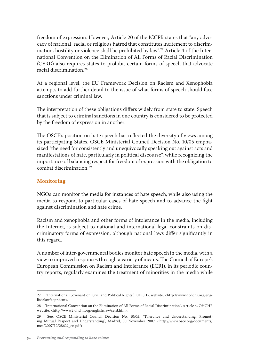freedom of expression. However, Article 20 of the ICCPR states that "any advocacy of national, racial or religious hatred that constitutes incitement to discrimination, hostility or violence shall be prohibited by law".<sup>27</sup> Article 4 of the International Convention on the Elimination of All Forms of Racial Discrimination (CERD) also requires states to prohibit certain forms of speech that advocate racial discrimination.28

At a regional level, the EU Framework Decision on Racism and Xenophobia attempts to add further detail to the issue of what forms of speech should face sanctions under criminal law.

The interpretation of these obligations differs widely from state to state: Speech that is subject to criminal sanctions in one country is considered to be protected by the freedom of expression in another.

The OSCE's position on hate speech has reflected the diversity of views among its participating States. OSCE Ministerial Council Decision No. 10/05 emphasized "the need for consistently and unequivocally speaking out against acts and manifestations of hate, particularly in political discourse", while recognizing the importance of balancing respect for freedom of expression with the obligation to combat discrimination.29

## **Monitoring**

NGOs can monitor the media for instances of hate speech, while also using the media to respond to particular cases of hate speech and to advance the fight against discrimination and hate crime.

Racism and xenophobia and other forms of intolerance in the media, including the Internet, is subject to national and international legal constraints on discriminatory forms of expression, although national laws differ significantly in this regard.

A number of inter-governmental bodies monitor hate speech in the media, with a view to improved responses through a variety of means. The Council of Europe's European Commission on Racism and Intolerance (ECRI), in its periodic country reports, regularly examines the treatment of minorities in the media while

<sup>27 &</sup>quot;International Covenant on Civil and Political Rights", OHCHR website, <http://www2.ohchr.org/english/law/ccpr.htm>.

<sup>28</sup> "International Convention on the Elimination of All Forms of Racial Discrimination", Article 4, OHCHR website, <http://www2.ohchr.org/english/law/cerd.htm>.

<sup>29</sup> See, OSCE Ministerial Council Decision No. 10/05, "Tolerance and Understanding, Promoting Mutual Respect and Understanding", Madrid, 30 November 2007, <http://www.osce.org/documents/ mcs/2007/12/28629\_en.pdf>.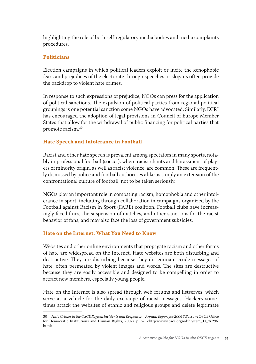highlighting the role of both self-regulatory media bodies and media complaints procedures.

## **Politicians**

Election campaigns in which political leaders exploit or incite the xenophobic fears and prejudices of the electorate through speeches or slogans often provide the backdrop to violent hate crimes.

In response to such expressions of prejudice, NGOs can press for the application of political sanctions. The expulsion of political parties from regional political groupings is one potential sanction some NGOs have advocated. Similarly, ECRI has encouraged the adoption of legal provisions in Council of Europe Member States that allow for the withdrawal of public financing for political parties that promote racism.30

## **Hate Speech and Intolerance in Football**

Racist and other hate speech is prevalent among spectators in many sports, notably in professional football (soccer), where racist chants and harassment of players of minority origin, as well as racist violence, are common. These are frequently dismissed by police and football authorities alike as simply an extension of the confrontational culture of football, not to be taken seriously.

NGOs play an important role in combating racism, homophobia and other intolerance in sport, including through collaboration in campaigns organized by the Football against Racism in Sport (FARE) coalition. Football clubs have increasingly faced fines, the suspension of matches, and other sanctions for the racist behavior of fans, and may also face the loss of government subsidies.

## **Hate on the Internet: What You Need to Know**

Websites and other online environments that propagate racism and other forms of hate are widespread on the Internet. Hate websites are both disturbing and destructive. They are disturbing because they disseminate crude messages of hate, often permeated by violent images and words. The sites are destructive because they are easily accessible and designed to be compelling in order to attract new members, especially young people.

Hate on the Internet is also spread through web forums and listserves, which serve as a vehicle for the daily exchange of racist messages. Hackers sometimes attack the websites of ethnic and religious groups and delete legitimate

<sup>30</sup> *Hate Crimes in the OSCE Region: Incidents and Responses – Annual Report for 2006* (Warsaw: OSCE Office for Democratic Institutions and Human Rights, 2007), p. 62, <http://www.osce.org/odihr/item\_11\_26296. html>.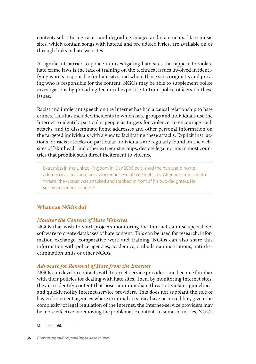content, substituting racist and degrading images and statements. Hate-music sites, which contain songs with hateful and prejudiced lyrics, are available on or through links in hate websites.

A significant barrier to police in investigating hate sites that appear to violate hate crime laws is the lack of training on the technical issues involved in identifying who is responsible for hate sites and where those sites originate, and proving who is responsible for the content. NGOs may be able to supplement police investigations by providing technical expertise to train police officers on these issues.

Racist and intolerant speech on the Internet has had a causal relationship to hate crimes. This has included incidents in which hate groups and individuals use the Internet to identify particular people as targets for violence, to encourage such attacks, and to disseminate home addresses and other personal information on the targeted individuals with a view to facilitating these attacks. Explicit instructions for racist attacks on particular individuals are regularly found on the websites of "skinhead" and other extremist groups, despite legal norms in most countries that prohibit such direct incitement to violence.

Extremists in the United Kingdom in May 2006 published the name and home address of a vocal anti-racist worker on several hate websites. After numerous death threats, the worker was attacked and stabbed in front of his two daughters. He sustained serious injuries.<sup>31</sup>

## **What can NGOs do?**

#### *Monitor the Content of Hate Websites*

NGOs that wish to start projects monitoring the Internet can use specialized software to create databases of hate content. This can be used for research, information exchange, comparative work and training. NGOs can also share this information with police agencies, academics, ombudsman institutions, anti-discrimination units or other NGOs.

#### *Advocate for Removal of Hate from the Internet*

NGOs can develop contacts with Internet-service providers and become familiar with their policies for dealing with hate sites. Then, by monitoring Internet sites, they can identify content that poses an immediate threat or violates guidelines, and quickly notify Internet-service providers. This does not supplant the role of law enforcement agencies where criminal acts may have occurred but, given the complexity of legal regulation of the Internet, the Internet-service providers may be more effective in removing the problematic content. In some countries, NGOs

<sup>31</sup> Ibid, p. 65.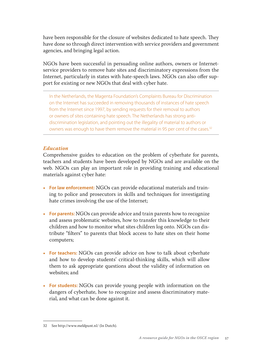have been responsible for the closure of websites dedicated to hate speech. They have done so through direct intervention with service providers and government agencies, and bringing legal action.

NGOs have been successful in persuading online authors, owners or Internetservice providers to remove hate sites and discriminatory expressions from the Internet, particularly in states with hate-speech laws. NGOs can also offer support for existing or new NGOs that deal with cyber hate.

In the Netherlands, the Magenta Foundation's Complaints Bureau for Discrimination on the Internet has succeeded in removing thousands of instances of hate speech from the Internet since 1997, by sending requests for their removal to authors or owners of sites containing hate speech. The Netherlands has strong antidiscrimination legislation, and pointing out the illegality of material to authors or owners was enough to have them remove the material in 95 per cent of the cases.<sup>32</sup>

#### *Education*

Comprehensive guides to education on the problem of cyberhate for parents, teachers and students have been developed by NGOs and are available on the web. NGOs can play an important role in providing training and educational materials against cyber hate:

- **For law enforcement:** NGOs can provide educational materials and training to police and prosecutors in skills and techniques for investigating hate crimes involving the use of the Internet;
- **For parents:** NGOs can provide advice and train parents how to recognize and assess problematic websites, how to transfer this knowledge to their children and how to monitor what sites children log onto. NGOs can distribute "filters" to parents that block access to hate sites on their home computers;
- **For teachers:** NGOs can provide advice on how to talk about cyberhate and how to develop students' critical-thinking skills, which will allow them to ask appropriate questions about the validity of information on websites; and
- **For students:** NGOs can provide young people with information on the dangers of cyberhate, how to recognize and assess discriminatory material, and what can be done against it.

<sup>32</sup> See http://www.meldpunt.nl/ (In Dutch).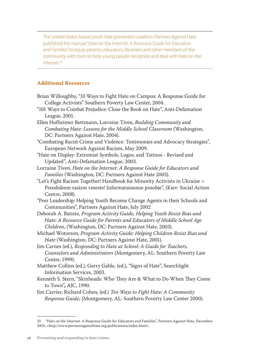The United States-based youth hate prevention coalition Partners Against Hate published the manual "Hate on the Internet: A Resource Guide for Educators and Families" to equip parents, educators, librarians and other members of the community with tools to help young people recognize and deal with hate on the Internet.<sup>33</sup>

## **Additional Resources**

| Brian Willoughby, "10 Ways to Fight Hate on Campus: A Response Guide for    |
|-----------------------------------------------------------------------------|
| College Activists" Southern Poverty Law Center, 2004.                       |
| "101 Ways to Combat Prejudice: Close the Book on Hate", Anti-Defamation     |
| League, 2001.                                                               |
| Ellen Hofheimer Bettmann, Lorraine Tiven, Building Community and            |
| Combating Hate: Lessons for the Middle School Classroom (Washington,        |
| DC: Partners Against Hate, 2004).                                           |
| "Combating Racist Crime and Violence: Testimonies and Advocacy Strategies", |
| European Network Against Racism, May 2009.                                  |
| "Hate on Display: Extremist Symbols, Logos, and Tattoos - Revised and       |
| Updated", Anti-Defamation League, 2003.                                     |
| Lorraine Tiven, Hate on the Internet: A Response Guide for Educators and    |
| Families (Washington, DC: Partners Against Hate 2003).                      |
| "Let's Fight Racism Together! Handbook for Minority Activists in Ukraine =  |
| Preodoleem rasizm vmeste! Informatsionnoe posobie", (Kiev: Social Action    |
| Centre, 2008).                                                              |
| "Peer Leadership: Helping Youth Become Change Agents in their Schools and   |
| Communities", Partners Against Hate, July 2002                              |
| Deborah A. Batiste, Program Activity Guide, Helping Youth Resist Bias and   |
| Hate: A Resource Guide for Parents and Educators of Middle School Age       |
| Children, (Washington, DC: Partners Against Hate, 2003).                    |
| Michael Wotorson, Program Activity Guide: Helping Children Resist Bias and  |
| Hate (Washington, DC: Partners Against Hate, 2001).                         |
| Jim Carnes (ed.), Responding to Hate at School: A Guide for Teachers,       |
| Counselors and Administrators (Montgomery, AL: Southern Poverty Law         |
| Center, 1999).                                                              |
| Matthew Collins (ed.), Gerry Gable, (ed.), "Signs of Hate", Searchlight     |
| Information Services, 2003.                                                 |
| Kenneth S. Stern, "Skinheads: Who They Are & What to Do When They Come      |
| to Town", AJC, 1990.                                                        |
| Jim Carrier, Richard Cohen, (ed.) Ten Ways to Fight Hate: A Community       |
| Response Guide, (Montgomery, AL: Southern Poverty Law Center 2000).         |

<sup>33 &</sup>quot;Hate on the Internet: A Response Guide for Educators and Families", Partners Against Hate, December 2003, <http://www.partnersagainsthate.org/publications/index.html>.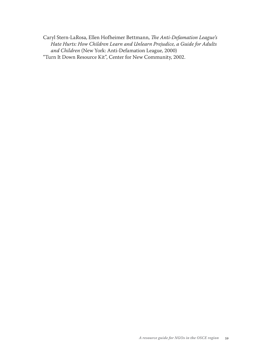Caryl Stern-LaRosa, Ellen Hofheimer Bettmann, *The Anti-Defamation League's Hate Hurts: How Children Learn and Unlearn Prejudice, a Guide for Adults and Children* (New York: Anti-Defamation League, 2000) "Turn It Down Resource Kit", Center for New Community, 2002.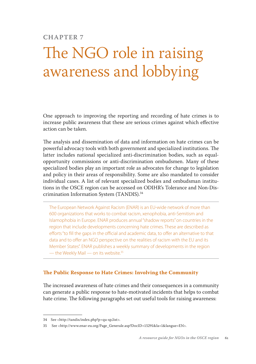## **Chapter 7**

# The NGO role in raising awareness and lobbying

One approach to improving the reporting and recording of hate crimes is to increase public awareness that these are serious crimes against which effective action can be taken.

The analysis and dissemination of data and information on hate crimes can be powerful advocacy tools with both government and specialized institutions. The latter includes national specialized anti-discrimination bodies, such as equalopportunity commissions or anti-discrimination ombudsmen. Many of these specialized bodies play an important role as advocates for change to legislation and policy in their areas of responsibility. Some are also mandated to consider individual cases. A list of relevant specialized bodies and ombudsman institutions in the OSCE region can be accessed on ODIHR's Tolerance and Non-Discrimination Information System (TANDIS).34

The European Network Against Racism (ENAR) is an EU-wide network of more than 600 organizations that works to combat racism, xenophobia, anti-Semitism and Islamophobia in Europe. ENAR produces annual "shadow reports" on countries in the region that include developments concerning hate crimes. These are described as efforts "to fill the gaps in the official and academic data, to offer an alternative to that data and to offer an NGO perspective on the realities of racism with the EU and its Member States". ENAR publishes a weekly summary of developments in the region — the Weekly Mail — on its website.<sup>35</sup>

### **The Public Response to Hate Crimes: Involving the Community**

The increased awareness of hate crimes and their consequences in a community can generate a public response to hate-motivated incidents that helps to combat hate crime. The following paragraphs set out useful tools for raising awareness:

<sup>34</sup> See <http://tandis/index.php?p=qu-sp,list>.

<sup>35</sup> See <http://www.enar-eu.org/Page\_Generale.asp?DocID=15291&la=1&langue=EN>.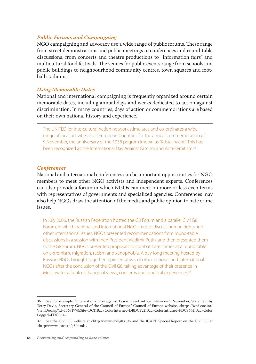## *Public Forums and Campaigning*

NGO campaigning and advocacy use a wide range of public forums. These range from street demonstrations and public meetings to conferences and round-table discussions, from concerts and theatre productions to "information fairs" and multicultural food festivals. The venues for public events range from schools and public buildings to neighbourhood community centres, town squares and football stadiums.

## *Using Memorable Dates*

National and international campaigning is frequently organized around certain memorable dates, including annual days and weeks dedicated to action against discrimination. In many countries, days of action or commemorations are based on their own national history and experience.

The UNITED for Intercultural Action network stimulates and co-ordinates a wide range of local activities in all European Countries for the annual commemoration of 9 November, the anniversary of the 1938 pogrom known as "Kristallnacht". This has been recognized as the International Day Against Fascism and Anti-Semitism.36

#### *Conferences*

National and international conferences can be important opportunities for NGO members to meet other NGO activists and independent experts. Conferences can also provide a forum in which NGOs can meet on more or less even terms with representatives of governments and specialized agencies. Conferences may also help NGOs draw the attention of the media and public opinion to hate crime issues.

In July 2006, the Russian Federation hosted the G8 Forum and a parallel Civil G8 Forum, in which national and international NGOs met to discuss human rights and other international issues. NGOs presented recommendations from round-table discussions in a session with then-President Vladimir Putin, and then presented them to the G8 Forum. NGOs presented proposals to combat hate crimes at a round table on extremism, migration, racism and xenophobia. A day-long meeting hosted by Russian NGOs brought together representatives of other national and international NGOs after the conclusion of the Civil G8, taking advantage of their presence in Moscow for a frank exchange of views, concerns and practical experiences.<sup>37</sup>

<sup>36</sup> See, for example, "International Day against Fascism and anti-Semitism on 9 November, Statement by Terry Davis, Secretary General of the Council of Europe" Council of Europe website, <https://wcd.coe.int/ ViewDoc.jsp?id=1367177&Site=DC&BackColorInternet=DBDCF2&BackColorIntranet=FDC864&BackColor Logged=FDC864>.

<sup>37</sup> See the Civil G8 website at <http://www.civilg8.ru/> and the ICARE Special Report on the Civil G8 at <http://www.icare.to/g8.html>.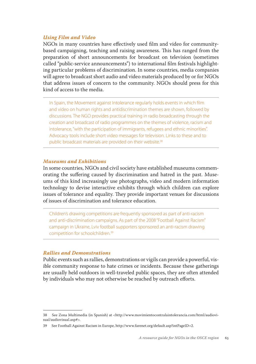### *Using Film and Video*

NGOs in many countries have effectively used film and video for communitybased campaigning, teaching and raising awareness. This has ranged from the preparation of short announcements for broadcast on television (sometimes called "public-service announcements") to international film festivals highlighting particular problems of discrimination. In some countries, media companies will agree to broadcast short audio and video materials produced by or for NGOs that address issues of concern to the community. NGOs should press for this kind of access to the media.

In Spain, the Movement against Intolerance regularly holds events in which film and video on human rights and antidiscrimination themes are shown, followed by discussions. The NGO provides practical training in radio broadcasting through the creation and broadcast of radio programmes on the themes of violence, racism and intolerance, "with the participation of immigrants, refugees and ethnic minorities". Advocacy tools include short video messages for television. Links to these and to public broadcast materials are provided on their website.<sup>38</sup>

#### *Museums and Exhibitions*

In some countries, NGOs and civil society have established museums commemorating the suffering caused by discrimination and hatred in the past. Museums of this kind increasingly use photographs, video and modern information technology to devise interactive exhibits through which children can explore issues of tolerance and equality. They provide important venues for discussions of issues of discrimination and tolerance education.

Children's drawing competitions are frequently sponsored as part of anti-racism and anti-discrimination campaigns. As part of the 2008 "Football Against Racism" campaign in Ukraine, Lviv football supporters sponsored an anti-racism drawing competition for schoolchildren.39

## *Rallies and Demonstrations*

Public events such as rallies, demonstrations or vigils can provide a powerful, visible community response to hate crimes or incidents. Because these gatherings are usually held outdoors in well-traveled public spaces, they are often attended by individuals who may not otherwise be reached by outreach efforts.

<sup>38</sup> See Zona Multimedia (in Spanish) at <http://www.movimientocontralaintolerancia.com/html/audiovisual/audiovisual.asp#>.

<sup>39</sup> See Football Against Racism in Europe, http://www.farenet.org/default.asp?intPageID=2.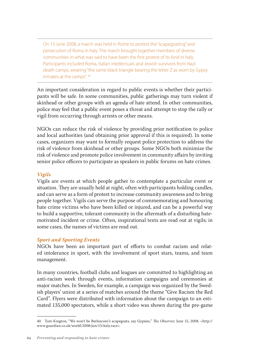On 13 June 2008, a march was held in Rome to protest the "scapegoating" and persecution of Roma in Italy. The march brought together members of diverse communities in what was said to have been the first protest of its kind in Italy. Participants included Roma, Italian intellectuals and Jewish survivors from Nazi death camps, wearing "the same black triangle bearing the letter Z as worn by Gypsy inmates at the camps". 40

An important consideration in regard to public events is whether their participants will be safe. In some communities, public gatherings may turn violent if skinhead or other groups with an agenda of hate attend. In other communities, police may feel that a public event poses a threat and attempt to stop the rally or vigil from occurring through arrests or other means.

NGOs can reduce the risk of violence by providing prior notification to police and local authorities (and obtaining prior approval if this is required). In some cases, organizers may want to formally request police protection to address the risk of violence from skinhead or other groups. Some NGOs both minimize the risk of violence and promote police involvement in community affairs by inviting senior police officers to participate as speakers in public forums on hate crimes.

## *Vigils*

Vigils are events at which people gather to contemplate a particular event or situation. They are usually held at night, often with participants holding candles, and can serve as a form of protest to increase community awareness and to bring people together. Vigils can serve the purpose of commemorating and honouring hate crime victims who have been killed or injured, and can be a powerful way to build a supportive, tolerant community in the aftermath of a disturbing hatemotivated incident or crime. Often, inspirational texts are read out at vigils; in some cases, the names of victims are read out.

## *Sport and Sporting Events*

NGOs have been an important part of efforts to combat racism and related intolerance in sport, with the involvement of sport stars, teams, and team management.

In many countries, football clubs and leagues are committed to highlighting an anti-racism week through events, information campaigns and ceremonies at major matches. In Sweden, for example, a campaign was organized by the Swedish players' union at a series of matches around the theme "Give Racism the Red Card". Flyers were distributed with information about the campaign to an estimated 135,000 spectators, while a short video was shown during the pre-game

<sup>40</sup> Tom Kington, "We won't be Berlusconi's scapegoats, say Gypsies," *The Observer,* June 15, 2008, <http:// www.guardian.co.uk/world/2008/jun/15/italy.race>.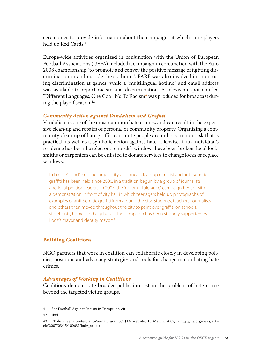ceremonies to provide information about the campaign, at which time players held up Red Cards.<sup>41</sup>

Europe-wide activities organized in conjunction with the Union of European Football Associations (UEFA) included a campaign in conjunction with the Euro 2008 championship "to promote and convey the positive message of fighting discrimination in and outside the stadiums". FARE was also involved in monitoring discrimination at games, while a "multilingual hotline" and email address was available to report racism and discrimination. A television spot entitled "Different Languages, One Goal: No To Racism**"** was produced for broadcast during the playoff season.42

#### *Community Action against Vandalism and Graffiti*

Vandalism is one of the most common hate crimes, and can result in the expensive clean-up and repairs of personal or community property. Organizing a community clean-up of hate graffiti can unite people around a common task that is practical, as well as a symbolic action against hate. Likewise, if an individual's residence has been burgled or a church's windows have been broken, local locksmiths or carpenters can be enlisted to donate services to change locks or replace windows.

In Lodz, Poland's second largest city, an annual clean-up of racist and anti-Semitic graffiti has been held since 2000, in a tradition begun by a group of journalists and local political leaders. In 2007, the "Colorful Tolerance" campaign began with a demonstration in front of city hall in which teenagers held up photographs of examples of anti-Semitic graffiti from around the city. Students, teachers, journalists and others then moved throughout the city to paint over graffiti on schools, storefronts, homes and city buses. The campaign has been strongly supported by Lodz's mayor and deputy mayor.<sup>43</sup>

### **Building Coalitions**

NGO partners that work in coalition can collaborate closely in developing policies, positions and advocacy strategies and tools for change in combating hate crimes.

#### *Advantages of Working in Coalitions*

Coalitions demonstrate broader public interest in the problem of hate crime beyond the targeted victim groups.

<sup>41</sup> See Football Against Racism in Europe, op. cit.

<sup>42</sup> Ibid.

<sup>43 &</sup>quot;Polish teens protest anti-Semitic graffiti," JTA website, 15 March, 2007, <http://jta.org/news/article/2007/03/15/100631/lodzgraffiti>.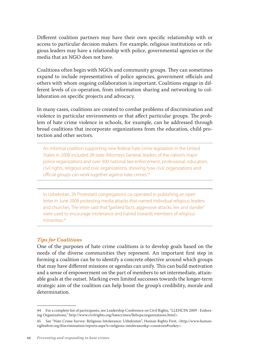Different coalition partners may have their own specific relationship with or access to particular decision makers. For example, religious institutions or religious leaders may have a relationship with police, governmental agencies or the media that an NGO does not have.

Coalitions often begin with NGOs and community groups. They can sometimes expand to include representatives of police agencies, government officials and others with whom ongoing collaboration is important. Coalitions engage in different levels of co-operation, from information sharing and networking to collaboration on specific projects and advocacy.

In many cases, coalitions are created to combat problems of discrimination and violence in particular environments or that affect particular groups. The problem of hate crime violence in schools, for example, can be addressed through broad coalitions that incorporate organizations from the education, child protection and other sectors.

An informal coalition supporting new federal hate crime legislation in the United States in 2008 included 28 state Attorneys General, leaders of the nation's major police organizations and over 300 national law enforcement, professional, education, civil rights, religious and civic organizations, showing how civic organizations and official groups can work together against hate crimes.<sup>44</sup>

In Uzbekistan, 26 Protestant congregations co-operated in publishing an open letter in June 2008 protesting media attacks that named individual religious leaders and churches. The letter said that "garbled facts, aggressive attacks, lies and slander" were used to encourage intolerance and hatred towards members of religious minorities.45

## *Tips for Coalitions*

One of the purposes of hate crime coalitions is to develop goals based on the needs of the diverse communities they represent. An important first step in forming a coalition can be to identify a concrete objective around which groups that may have different missions or agendas can unify. This can build motivation and a sense of empowerment on the part of members to set intermediate, attainable goals at the outset. Marking even limited successes towards the longer-term strategic aim of the coalition can help boost the group's credibility, morale and determination.

<sup>44</sup> For a complete list of participants, see Leadership Conference on Civil Rights, "LLEHCPA 2009 - Endorsing Organizations," http://www.civilrights.org/hatecrimes/llehcpa/organizations.html>.

<sup>45</sup> See "Hate Crime Survey: Religious Intolerance: Uzbekistan", Human Rights First, <http://www.humanrightsfirst.org/discrimination/reports.aspx?s=religious-intolerance&p=countries#turkey>.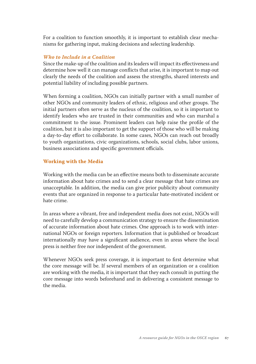For a coalition to function smoothly, it is important to establish clear mechanisms for gathering input, making decisions and selecting leadership.

## *Who to Include in a Coalition*

Since the make-up of the coalition and its leaders will impact its effectiveness and determine how well it can manage conflicts that arise, it is important to map out clearly the needs of the coalition and assess the strengths, shared interests and potential liability of including possible partners.

When forming a coalition, NGOs can initially partner with a small number of other NGOs and community leaders of ethnic, religious and other groups. The initial partners often serve as the nucleus of the coalition, so it is important to identify leaders who are trusted in their communities and who can marshal a commitment to the issue. Prominent leaders can help raise the profile of the coalition, but it is also important to get the support of those who will be making a day-to-day effort to collaborate. In some cases, NGOs can reach out broadly to youth organizations, civic organizations, schools, social clubs, labor unions, business associations and specific government officials.

#### **Working with the Media**

Working with the media can be an effective means both to disseminate accurate information about hate crimes and to send a clear message that hate crimes are unacceptable. In addition, the media can give prior publicity about community events that are organized in response to a particular hate-motivated incident or hate crime.

In areas where a vibrant, free and independent media does not exist, NGOs will need to carefully develop a communication strategy to ensure the dissemination of accurate information about hate crimes. One approach is to work with international NGOs or foreign reporters. Information that is published or broadcast internationally may have a significant audience, even in areas where the local press is neither free nor independent of the government.

Whenever NGOs seek press coverage, it is important to first determine what the core message will be. If several members of an organization or a coalition are working with the media, it is important that they each consult in putting the core message into words beforehand and in delivering a consistent message to the media.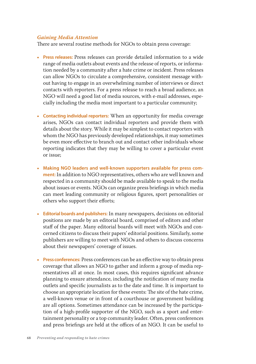### *Gaining Media Attention*

There are several routine methods for NGOs to obtain press coverage:

- **Press releases:** Press releases can provide detailed information to a wide range of media outlets about events and the release of reports, or information needed by a community after a hate crime or incident. Press releases can allow NGOs to circulate a comprehensive, consistent message without having to engage in an overwhelming number of interviews or direct contacts with reporters. For a press release to reach a broad audience, an NGO will need a good list of media sources, with e-mail addresses, especially including the media most important to a particular community;
- **Contacting individual reporters:** When an opportunity for media coverage arises, NGOs can contact individual reporters and provide them with details about the story. While it may be simplest to contact reporters with whom the NGO has previously developed relationships, it may sometimes be even more effective to branch out and contact other individuals whose reporting indicates that they may be willing to cover a particular event or issue;
- **Making NGO leaders and well-known supporters available for press comment:** In addition to NGO representatives, others who are well known and respected in a community should be made available to speak to the media about issues or events. NGOs can organize press briefings in which media can meet leading community or religious figures, sport personalities or others who support their efforts;
- **Editorial boards and publishers:** In many newspapers, decisions on editorial positions are made by an editorial board, comprised of editors and other staff of the paper. Many editorial boards will meet with NGOs and concerned citizens to discuss their papers' editorial positions. Similarly, some publishers are willing to meet with NGOs and others to discuss concerns about their newspapers' coverage of issues.
- **Press conferences:** Press conferences can be an effective way to obtain press coverage that allows an NGO to gather and inform a group of media representatives all at once. In most cases, this requires significant advance planning to ensure attendance, including the notification of many media outlets and specific journalists as to the date and time. It is important to choose an appropriate location for these events: The site of the hate crime, a well-known venue or in front of a courthouse or government building are all options. Sometimes attendance can be increased by the participation of a high-profile supporter of the NGO, such as a sport and entertainment personality or a top community leader. Often, press conferences and press briefings are held at the offices of an NGO. It can be useful to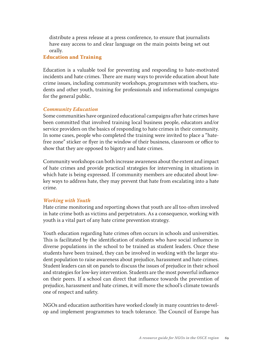distribute a press release at a press conference, to ensure that journalists have easy access to and clear language on the main points being set out orally.

### **Education and Training**

Education is a valuable tool for preventing and responding to hate-motivated incidents and hate crimes. There are many ways to provide education about hate crime issues, including community workshops, programmes with teachers, students and other youth, training for professionals and informational campaigns for the general public.

#### *Community Education*

Some communities have organized educational campaigns after hate crimes have been committed that involved training local business people, educators and/or service providers on the basics of responding to hate crimes in their community. In some cases, people who completed the training were invited to place a "hatefree zone" sticker or flyer in the window of their business, classroom or office to show that they are opposed to bigotry and hate crimes.

Community workshops can both increase awareness about the extent and impact of hate crimes and provide practical strategies for intervening in situations in which hate is being expressed. If community members are educated about lowkey ways to address hate, they may prevent that hate from escalating into a hate crime.

#### *Working with Youth*

Hate crime monitoring and reporting shows that youth are all too often involved in hate crime both as victims and perpetrators. As a consequence, working with youth is a vital part of any hate crime prevention strategy.

Youth education regarding hate crimes often occurs in schools and universities. This is facilitated by the identification of students who have social influence in diverse populations in the school to be trained as student leaders. Once these students have been trained, they can be involved in working with the larger student population to raise awareness about prejudice, harassment and hate crimes. Student leaders can sit on panels to discuss the issues of prejudice in their school and strategies for low-key intervention. Students are the most powerful influence on their peers. If a school can direct that influence towards the prevention of prejudice, harassment and hate crimes, it will move the school's climate towards one of respect and safety.

NGOs and education authorities have worked closely in many countries to develop and implement programmes to teach tolerance. The Council of Europe has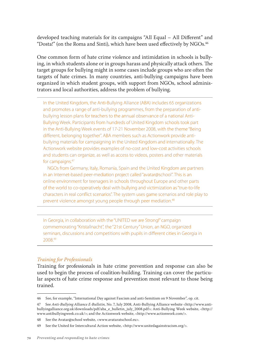developed teaching materials for its campaigns "All Equal – All Different" and "Dosta!" (on the Roma and Sinti), which have been used effectively by NGOs.<sup>46</sup>

One common form of hate crime violence and intimidation in schools is bullying, in which students alone or in groups harass and physically attack others. The target groups for bullying might in some cases include groups who are often the targets of hate crimes. In many countries, anti-bullying campaigns have been organized in which student groups, with support from NGOs, school administrators and local authorities, address the problem of bullying.

In the United Kingdom, the Anti-Bullying Alliance (ABA) includes 65 organizations and promotes a range of anti-bullying programmes, from the preparation of antibullying lesson plans for teachers to the annual observance of a national Anti-Bullying Week. Participants from hundreds of United Kingdom schools took part in the Anti-Bullying Week events of 17-21 November 2008, with the theme "Being different, belonging together". ABA members such as Actionwork provide antibullying materials for campaigning in the United Kingdom and internationally. The Actionwork website provides examples of no-cost and low-cost activities schools and students can organize, as well as access to videos, posters and other materials for campaigns.47

 NGOs from Germany, Italy, Romania, Spain and the United Kingdom are partners in an Internet-based peer-mediation project called "avatar@school". This is an online environment for teenagers in schools throughout Europe and other parts of the world to co-operatively deal with bullying and victimization as "true-to-life characters in real conflict scenarios". The system uses game scenarios and role play to prevent violence amongst young people through peer mediation.<sup>48</sup>

In Georgia, in collaboration with the "UNITED we are Strong!" campaign commemorating "Kristallnacht", the "21st Century" Union, an NGO, organized seminars, discussions and competitions with pupils in different cities in Georgia in 2008.49

#### *Training for Professionals*

Training for professionals in hate crime prevention and response can also be used to begin the process of coalition-building. Training can cover the particular aspects of hate crime response and prevention most relevant to those being trained.

<sup>46</sup> See, for example, "International Day against Fascism and anti-Semitism on 9 November", op. cit.

<sup>47</sup> See *Anti-Bullying Alliance E-Bulletin,* No. 7, July 2008, Anti-Bullying Alliance website <http://www.antibullyingalliance.org.uk/downloads/pdf/aba\_e\_bulletin\_july\_2008.pdf>; Anti-Bullying Week website, <http:// www.antibullyingweek.co.uk/>; and the Actionwork website, <http://www.actionwork.com/>.

<sup>48</sup> See the Avatar@school website, <www.avataratschool.eu>.

<sup>49</sup> See the United for Intercultural Action website, <http://www.unitedagainstracism.org/>.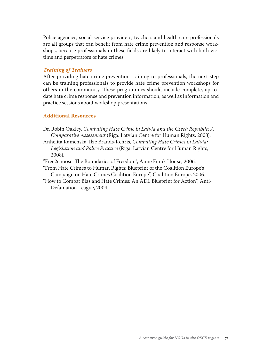Police agencies, social-service providers, teachers and health care professionals are all groups that can benefit from hate crime prevention and response workshops, because professionals in these fields are likely to interact with both victims and perpetrators of hate crimes.

#### *Training of Trainers*

After providing hate crime prevention training to professionals, the next step can be training professionals to provide hate crime prevention workshops for others in the community. These programmes should include complete, up-todate hate crime response and prevention information, as well as information and practice sessions about workshop presentations.

#### **Additional Resources**

- Dr. Robin Oakley, *Combating Hate Crime in Latvia and the Czech Republic: A Comparative Assessment* (Riga: Latvian Centre for Human Rights, 2008).
- Anhelita Kamenska, Ilze Brands-Kehris, *Combating Hate Crimes in Latvia: Legislation and Police Practice* (Riga: Latvian Centre for Human Rights, 2008).
- "Free2choose: The Boundaries of Freedom", Anne Frank House, 2006.
- "From Hate Crimes to Human Rights: Blueprint of the Coalition Europe's Campaign on Hate Crimes Coalition Europe", Coalition Europe, 2006.
- "How to Combat Bias and Hate Crimes: An ADL Blueprint for Action", Anti-Defamation League, 2004.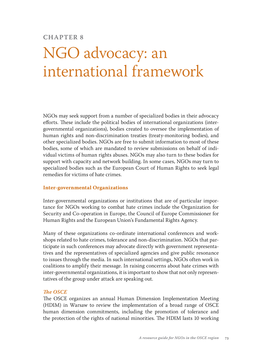# **Chapter 8**

# NGO advocacy: an international framework

NGOs may seek support from a number of specialized bodies in their advocacy efforts. These include the political bodies of international organizations (intergovernmental organizations), bodies created to oversee the implementation of human rights and non-discrimination treaties (treaty-monitoring bodies), and other specialized bodies. NGOs are free to submit information to most of these bodies, some of which are mandated to review submissions on behalf of individual victims of human rights abuses. NGOs may also turn to these bodies for support with capacity and network building. In some cases, NGOs may turn to specialized bodies such as the European Court of Human Rights to seek legal remedies for victims of hate crimes.

#### **Inter-governmental Organizations**

Inter-governmental organizations or institutions that are of particular importance for NGOs working to combat hate crimes include the Organization for Security and Co-operation in Europe, the Council of Europe Commissioner for Human Rights and the European Union's Fundamental Rights Agency.

Many of these organizations co-ordinate international conferences and workshops related to hate crimes, tolerance and non-discrimination. NGOs that participate in such conferences may advocate directly with government representatives and the representatives of specialized agencies and give public resonance to issues through the media. In such international settings, NGOs often work in coalitions to amplify their message. In raising concerns about hate crimes with inter-governmental organizations, it is important to show that not only representatives of the group under attack are speaking out.

## *The OSCE*

The OSCE organizes an annual Human Dimension Implementation Meeting (HDIM) in Warsaw to review the implementation of a broad range of OSCE human dimension commitments, including the promotion of tolerance and the protection of the rights of national minorities. The HDIM lasts 10 working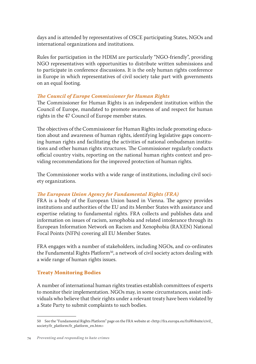days and is attended by representatives of OSCE participating States, NGOs and international organizations and institutions.

Rules for participation in the HDIM are particularly "NGO-friendly", providing NGO representatives with opportunities to distribute written submissions and to participate in conference discussions. It is the only human rights conference in Europe in which representatives of civil society take part with governments on an equal footing.

## *The Council of Europe Commissioner for Human Rights*

The Commissioner for Human Rights is an independent institution within the Council of Europe, mandated to promote awareness of and respect for human rights in the 47 Council of Europe member states.

The objectives of the Commissioner for Human Rights include promoting education about and awareness of human rights, identifying legislative gaps concerning human rights and facilitating the activities of national ombudsman institutions and other human rights structures. The Commissioner regularly conducts official country visits, reporting on the national human rights context and providing recommendations for the improved protection of human rights.

The Commissioner works with a wide range of institutions, including civil society organizations.

## *The European Union Agency for Fundamental Rights (FRA)*

FRA is a body of the European Union based in Vienna. The agency provides institutions and authorities of the EU and its Member States with assistance and expertise relating to fundamental rights. FRA collects and publishes data and information on issues of racism, xenophobia and related intolerance through its European Information Network on Racism and Xenophobia (RAXEN) National Focal Points (NFPs) covering all EU Member States.

FRA engages with a number of stakeholders, including NGOs, and co-ordinates the Fundamental Rights Platform<sup>50</sup>, a network of civil society actors dealing with a wide range of human rights issues.

## **Treaty Monitoring Bodies**

A number of international human rights treaties establish committees of experts to monitor their implementation. NGOs may, in some circumstances, assist individuals who believe that their rights under a relevant treaty have been violated by a State Party to submit complaints to such bodies.

<sup>50</sup> See the "Fundamental Rights Platform" page on the FRA website at <http://fra.europa.eu/fraWebsite/civil\_ society/fr\_platform/fr\_platform\_en.htm>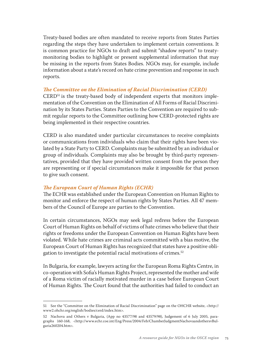Treaty-based bodies are often mandated to receive reports from States Parties regarding the steps they have undertaken to implement certain conventions. It is common practice for NGOs to draft and submit "shadow reports" to treatymonitoring bodies to highlight or present supplemental information that may be missing in the reports from States Bodies. NGOs may, for example, include information about a state's record on hate crime prevention and response in such reports.

### *The Committee on the Elimination of Racial Discrimination (CERD)*

 $CERD<sup>51</sup>$  is the treaty-based body of independent experts that monitors implementation of the Convention on the Elimination of All Forms of Racial Discrimination by its States Parties. States Parties to the Convention are required to submit regular reports to the Committee outlining how CERD-protected rights are being implemented in their respective countries.

CERD is also mandated under particular circumstances to receive complaints or communications from individuals who claim that their rights have been violated by a State Party to CERD. Complaints may be submitted by an individual or group of individuals. Complaints may also be brought by third-party representatives, provided that they have provided written consent from the person they are representing or if special circumstances make it impossible for that person to give such consent.

## *The European Court of Human Rights (ECHR)*

The ECHR was established under the European Convention on Human Rights to monitor and enforce the respect of human rights by States Parties. All 47 members of the Council of Europe are parties to the Convention.

In certain circumstances, NGOs may seek legal redress before the European Court of Human Rights on behalf of victims of hate crimes who believe that their rights or freedoms under the European Convention on Human Rights have been violated. While hate crimes are criminal acts committed with a bias motive, the European Court of Human Rights has recognized that states have a positive obligation to investigate the potential racial motivations of crimes.<sup>52</sup>

In Bulgaria, for example, lawyers acting for the European Roma Rights Centre, in co-operation with Sofia's Human Rights Project, represented the mother and wife of a Roma victim of racially motivated murder in a case before European Court of Human Rights. The Court found that the authorities had failed to conduct an

<sup>51</sup> See the "Committee on the Elimination of Racial Discrimination" page on the OHCHR website, <http:// www2.ohchr.org/english/bodies/cerd/index.htm>.

<sup>52</sup> Nachova and Others v Bulgaria, (App no 43577/98 and 43579/98), Judgement of 6 July 2005, paragraphs 160-168, <http://www.echr.coe.int/Eng/Press/2004/Feb/ChamberJudgmentNachovaandothersvBulgaria260204.htm>.